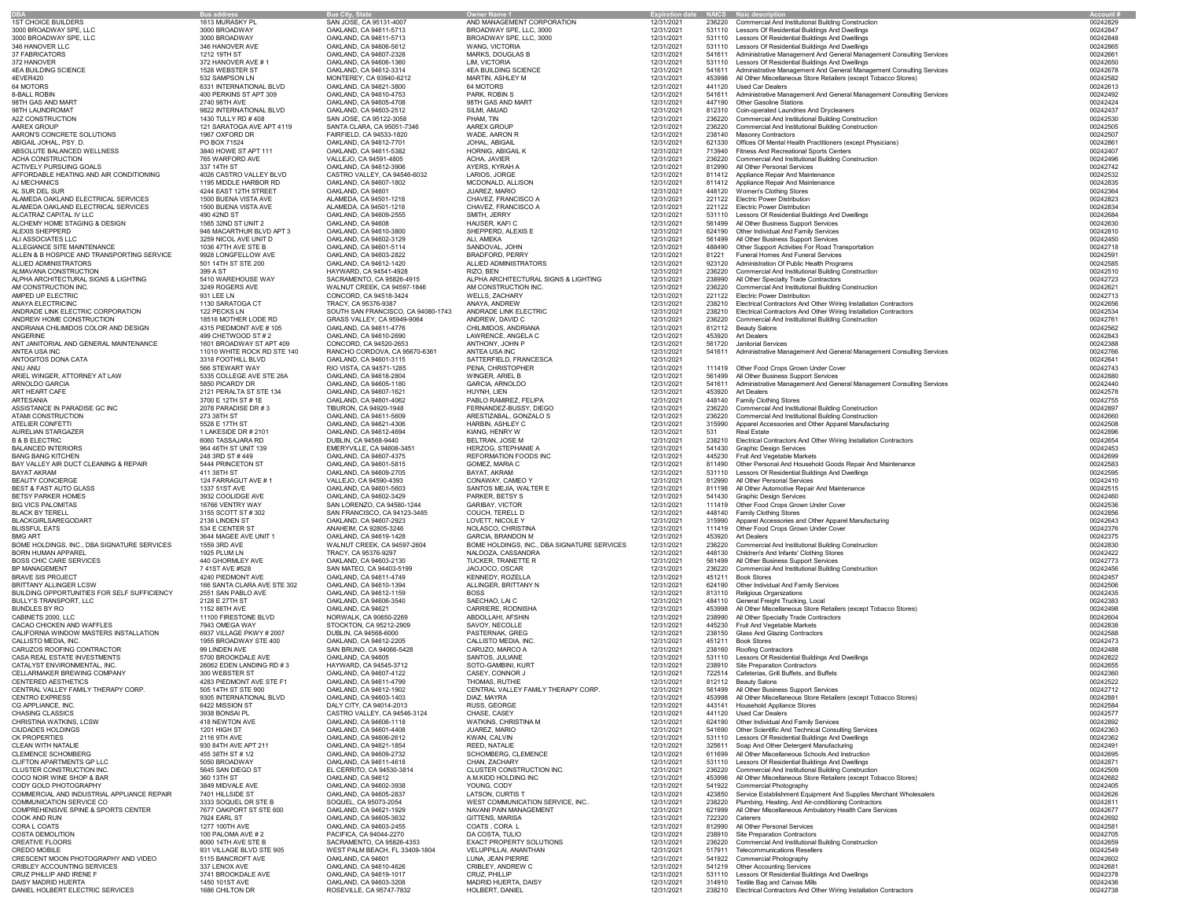| <b>DBA</b>                                        | <b>Bus address</b>                   | <b>Bus City, State</b>                           | <b>Owner Name 1</b>                         | <b>Expiration date</b> |        | <b>NAICS</b> Naic description                                        | <b>Account #</b> |  |
|---------------------------------------------------|--------------------------------------|--------------------------------------------------|---------------------------------------------|------------------------|--------|----------------------------------------------------------------------|------------------|--|
| <b>1ST CHOICE BUILDERS</b>                        | 1613 MURASKY PL                      | SAN JOSE, CA 95131-4007                          | AND MANAGEMENT CORPORATION                  | 12/31/2021             | 236220 | <b>Commercial And Institutional Building Construction</b>            | 00242829         |  |
| 3000 BROADWAY SPE, LLC                            | 3000 BROADWAY                        | OAKLAND, CA 94611-5713                           | BROADWAY SPE, LLC, 3000                     | 12/31/2021             | 531110 | Lessors Of Residential Buildings And Dwellings                       | 00242847         |  |
| 3000 BROADWAY SPE, LLC                            | 3000 BROADWAY                        | OAKLAND, CA 94611-5713                           | BROADWAY SPE, LLC, 3000                     | 12/31/2021             | 531110 | Lessors Of Residential Buildings And Dwellings                       | 00242848         |  |
| 346 HANOVER LLC                                   | 346 HANOVER AVE                      | OAKLAND, CA 94606-5612                           | <b>WANG, VICTORIA</b>                       | 12/31/2021             | 531110 | Lessors Of Residential Buildings And Dwellings                       | 00242865         |  |
| <b>37 FABRICATORS</b>                             | 1212 19TH ST                         | OAKLAND, CA 94607-2328                           | <b>MARKS, DOUGLAS B</b>                     | 12/31/2021             | 541611 | Administrative Management And General Management Consulting Services | 00242661         |  |
| 372 HANOVER                                       | 372 HANOVER AVE #1                   | OAKLAND, CA 94606-1360                           | LIM, VICTORIA                               | 12/31/2021             | 531110 | Lessors Of Residential Buildings And Dwellings                       | 00242650         |  |
| <b>4EA BUILDING SCIENCE</b>                       | 1528 WEBSTER ST                      | OAKLAND, CA 94612-3314                           | <b>4EA BUILDING SCIENCE</b>                 | 12/31/2021             | 541611 | Administrative Management And General Management Consulting Services | 00242678         |  |
| 4EVER420                                          | 532 SAMPSON LN                       | MONTEREY, CA 93940-6212                          | <b>MARTIN, ASHLEY M</b>                     | 12/31/2021             | 453998 | All Other Miscellaneous Store Retailers (except Tobacco Stores)      | 00242582         |  |
| 64 MOTORS                                         | 6331 INTERNATIONAL BLVD              | OAKLAND, CA 94621-3800                           | 64 MOTORS                                   | 12/31/2021             | 441120 | <b>Used Car Dealers</b>                                              | 00242613         |  |
| <b>8-BALL ROBIN</b>                               | 400 PERKINS ST APT 309               | OAKLAND, CA 94610-4753                           | PARK, ROBIN S                               | 12/31/2021             | 541611 | Administrative Management And General Management Consulting Services | 00242492         |  |
|                                                   | 2740 98TH AVE                        | OAKLAND, CA 94605-4708                           | 98TH GAS AND MART                           |                        | 447190 | <b>Other Gasoline Stations</b>                                       |                  |  |
| 98TH GAS AND MART                                 |                                      |                                                  |                                             | 12/31/2021             |        |                                                                      | 00242424         |  |
| 98TH LAUNDROMAT                                   | 9822 INTERNATIONAL BLVD              | OAKLAND, CA 94603-2512                           | SILMI, AMJAD                                | 12/31/2021             | 812310 | <b>Coin-operated Laundries And Drycleaners</b>                       | 00242437         |  |
| A2Z CONSTRUCTION                                  | 1430 TULLY RD #408                   | SAN JOSE, CA 95122-3058                          | PHAM, TIN                                   | 12/31/2021             | 236220 | <b>Commercial And Institutional Building Construction</b>            | 00242530         |  |
| AAREX GROUP                                       | 121 SARATOGA AVE APT 4119            | SANTA CLARA, CA 95051-7346                       | AAREX GROUP                                 | 12/31/2021             | 236220 | <b>Commercial And Institutional Building Construction</b>            | 00242505         |  |
| AARON'S CONCRETE SOLUTIONS                        | 1967 OXFORD DR                       | <b>FAIRFIELD, CA 94533-1820</b>                  | WADE, AARON R                               | 12/31/2021             | 238140 | <b>Masonry Contractors</b>                                           | 00242507         |  |
| ABIGAIL JOHAL, PSY. D.                            | PO BOX 71524                         | OAKLAND, CA 94612-7701                           | JOHAL, ABIGAIL                              | 12/31/2021             | 621330 | Offices Of Mental Health Practitioners (except Physicians)           | 00242861         |  |
| ABSOLUTE BALANCED WELLNESS                        | 3840 HOWE ST APT 111                 | OAKLAND, CA 94611-5382                           | <b>HORNIG, ABIGAIL K</b>                    | 12/31/2021             | 713940 | <b>Fitness And Recreational Sports Centers</b>                       | 00242407         |  |
| ACHA CONSTRUCTION                                 | 765 WARFORD AVE                      | VALLEJO, CA 94591-4805                           | <b>ACHA, JAVIER</b>                         | 12/31/2021             | 236220 | <b>Commercial And Institutional Building Construction</b>            | 00242496         |  |
| <b>ACTIVELY PURSUING GOALS</b>                    | 337 14TH ST                          | OAKLAND, CA 94612-3906                           | AYERS, KYRAH A                              | 12/31/2021             | 812990 | All Other Personal Services                                          | 00242742         |  |
| AFFORDABLE HEATING AND AIR CONDITIONING           | 4026 CASTRO VALLEY BLVD              | CASTRO VALLEY, CA 94546-6032                     | LARIOS, JORGE                               | 12/31/2021             | 811412 | <b>Appliance Repair And Maintenance</b>                              | 00242532         |  |
| AJ MECHANICS                                      | 1195 MIDDLE HARBOR RD                | OAKLAND, CA 94607-1802                           | MCDONALD, ALLISON                           | 12/31/2021             |        | 811412 Appliance Repair And Maintenance                              | 00242835         |  |
| AL SUR DEL SUR                                    | 4244 EAST 12TH STREET                | OAKLAND, CA 94601                                | JUAREZ, MARIO                               | 12/31/2021             | 448120 | <b>Women's Clothing Stores</b>                                       | 00242364         |  |
| ALAMEDA OAKLAND ELECTRICAL SERVICES               | 1500 BUENA VISTA AVE                 | ALAMEDA, CA 94501-1218                           | CHAVEZ, FRANCISCO A                         | 12/31/2021             | 221122 | <b>Electric Power Distribution</b>                                   | 00242823         |  |
| ALAMEDA OAKLAND ELECTRICAL SERVICES               | 1500 BUENA VISTA AVE                 | ALAMEDA, CA 94501-1218                           | CHAVEZ, FRANCISCO A                         | 12/31/2021             | 221122 | <b>Electric Power Distribution</b>                                   | 00242834         |  |
| ALCATRAZ CAPITAL IV LLC                           | 490 42ND ST                          | OAKLAND, CA 94609-2555                           | SMITH, JERRY                                | 12/31/2021             | 531110 | Lessors Of Residential Buildings And Dwellings                       | 00242684         |  |
| ALCHEMY HOME STAGING & DESIGN                     | 1565 32ND ST UNIT 2                  | OAKLAND, CA 94608                                | HAUSER, KAFI C                              | 12/31/2021             | 561499 | All Other Business Support Services                                  | 00242630         |  |
| ALEXIS SHEPPERD                                   | 946 MACARTHUR BLVD APT 3             | OAKLAND, CA 94610-3800                           | SHEPPERD, ALEXIS E                          | 12/31/2021             | 624190 | <b>Other Individual And Family Services</b>                          | 00242810         |  |
| ALI ASSOCIATES LLC                                | 3259 NICOL AVE UNIT D                | OAKLAND, CA 94602-3129                           | ALI, AMEKA                                  | 12/31/2021             | 561499 | All Other Business Support Services                                  | 00242450         |  |
| ALLEGIANCE SITE MAINTENANCE                       | 1036 47TH AVE STE B                  | OAKLAND, CA 94601-5114                           | SANDOVAL, JOHN                              | 12/31/2021             | 488490 | Other Support Activities For Road Transportation                     | 00242718         |  |
| ALLEN & B HOSPICE AND TRANSPORTING SERVICE        | 9928 LONGFELLOW AVE                  | OAKLAND, CA 94603-2822                           | <b>BRADFORD, PERRY</b>                      | 12/31/2021             | 81221  | <b>Funeral Homes And Funeral Services</b>                            | 00242591         |  |
| ALLIED ADMINISTRATORS                             | 501 14TH ST STE 200                  | OAKLAND, CA 94612-1420                           | ALLIED ADMINISTRATORS                       | 12/31/2021             | 923120 | Administration Of Public Health Programs                             | 00242585         |  |
| ALMAVANA CONSTRUCTION                             | 399 A ST                             | HAYWARD, CA 94541-4928                           | RIZO, BEN                                   | 12/31/2021             | 236220 | <b>Commercial And Institutional Building Construction</b>            | 00242510         |  |
| ALPHA ARCHITECTURAL SIGNS & LIGHTING              | 5410 WAREHOUSE WAY                   | SACRAMENTO, CA 95826-4915                        | ALPHA ARCHITECTURAL SIGNS & LIGHTING        | 12/31/2021             | 238990 | All Other Specialty Trade Contractors                                | 00242723         |  |
| AM CONSTRUCTION INC.                              | 3249 ROGERS AVE                      | <b>WALNUT CREEK, CA 94597-1846</b>               | AM CONSTRUCTION INC.                        | 12/31/2021             | 236220 | <b>Commercial And Institutional Building Construction</b>            | 00242621         |  |
| AMPED UP ELECTRIC                                 | 931 LEE LN                           | CONCORD, CA 94518-3424                           | <b>WELLS, ZACHARY</b>                       | 12/31/2021             |        | 221122 Electric Power Distribution                                   | 00242713         |  |
| ANAYA ELECTRICINC                                 | 1130 SARATOGA CT                     | TRACY, CA 95376-9387                             | ANAYA, ANDREW                               | 12/31/2021             | 238210 | Electrical Contractors And Other Wiring Installation Contractors     | 00242656         |  |
| ANDRADE LINK ELECTRIC CORPORATION                 | 122 PECKS LN                         | SOUTH SAN FRANCISCO, CA 94080-1743               | <b>ANDRADE LINK ELECTRIC</b>                | 12/31/2021             | 238210 | Electrical Contractors And Other Wiring Installation Contractors     | 00242534         |  |
| ANDREW HOME CONSTRUCTION                          | 18516 MOTHER LODE RD                 | GRASS VALLEY, CA 95949-9064                      | ANDREW, DAVID C                             | 12/31/2021             | 236220 | <b>Commercial And Institutional Building Construction</b>            | 00242761         |  |
| ANDRIANA CHILIMIDOS COLOR AND DESIGN              | 4315 PIEDMONT AVE # 105              | OAKLAND, CA 94611-4776                           | CHILIMIDOS, ANDRIANA                        | 12/31/2021             |        | 812112 Beauty Salons                                                 | 00242562         |  |
| <b>ANGERINE</b>                                   | 499 CHETWOOD ST # 2                  | OAKLAND, CA 94610-2690                           | LAWRENCE, ANGELA C                          | 12/31/2021             | 453920 | <b>Art Dealers</b>                                                   | 00242843         |  |
| ANT JANITORIAL AND GENERAL MAINTENANCE            | 1601 BROADWAY ST APT 409             | CONCORD, CA 94520-2653                           | ANTHONY, JOHN P                             | 12/31/2021             | 561720 | <b>Janitorial Services</b>                                           | 00242388         |  |
| ANTEA USA INC                                     | 11010 WHITE ROCK RD STE 140          | RANCHO CORDOVA, CA 95670-6361                    | ANTEA USA INC                               | 12/31/2021             | 541611 | Administrative Management And General Management Consulting Services | 00242766         |  |
| ANTOGITOS DONA CATA                               | 3318 FOOTHILL BLVD                   | OAKLAND, CA 94601-3115                           | SATTERFIELD, FRANCESCA                      | 12/31/2021             |        |                                                                      | 00242641         |  |
| ANU ANU                                           | 566 STEWART WAY                      | RIO VISTA, CA 94571-1285                         | PENA, CHRISTOPHER                           | 12/31/2021             | 111419 | Other Food Crops Grown Under Cover                                   | 00242743         |  |
| ARIEL WINGER, ATTORNEY AT LAW                     | 5335 COLLEGE AVE STE 26A             | OAKLAND, CA 94618-2804                           | <b>WINGER, ARIEL B</b>                      | 12/31/2021             |        | 561499 All Other Business Support Services                           | 00242880         |  |
| ARNOLDO GARCIA                                    | 5850 PICARDY DR                      | OAKLAND, CA 94605-1180                           | <b>GARCIA, ARNOLDO</b>                      | 12/31/2021             | 541611 | Administrative Management And General Management Consulting Services | 00242440         |  |
| <b>ART HEART CAFE</b>                             | 2121 PERALTA ST STE 134              | OAKLAND, CA 94607-1621                           | HUYNH, LIEN                                 | 12/31/2021             | 453920 | <b>Art Dealers</b>                                                   | 00242578         |  |
|                                                   |                                      |                                                  |                                             |                        |        |                                                                      |                  |  |
| ARTESANIA                                         | 3700 E 12TH ST # 1E                  | OAKLAND, CA 94601-4062                           | PABLO RAMIREZ, FELIPA                       | 12/31/2021             | 448140 | <b>Family Clothing Stores</b>                                        | 00242755         |  |
| ASSISTANCE IN PARADISE GC INC                     | 2078 PARADISE DR # 3                 | TIBURON, CA 94920-1948                           | FERNANDEZ-BUSSY, DIEGO                      | 12/31/2021             | 236220 | <b>Commercial And Institutional Building Construction</b>            | 00242897         |  |
| <b>ATAMI CONSTRUCTION</b>                         | 273 38TH ST                          | OAKLAND, CA 94611-5609                           | ARESTIZABAL, GONZALO S                      | 12/31/2021             | 236220 | <b>Commercial And Institutional Building Construction</b>            | 00242660         |  |
| <b>ATELIER CONFETTI</b>                           | 5528 E 17TH ST                       | OAKLAND, CA 94621-4306                           | <b>HARBIN, ASHLEY C</b>                     | 12/31/2021             | 315990 | Apparel Accessories and Other Apparel Manufacturing                  | 00242508         |  |
| AURELIAN STARGAZER                                | 1 LAKESIDE DR # 2101                 | OAKLAND, CA 94612-4694                           | KIANG, HENRY W                              | 12/31/2021             | 531    | <b>Real Estate</b>                                                   | 00242896         |  |
| <b>B &amp; B ELECTRIC</b>                         | 6060 TASSAJARA RD                    | DUBLIN, CA 94568-9440                            | <b>BELTRAN, JOSE M</b>                      | 12/31/2021             | 238210 | Electrical Contractors And Other Wiring Installation Contractors     | 00242654         |  |
| <b>BALANCED INTERIORS</b>                         | 964 46TH ST UNIT 139                 | EMERYVILLE, CA 94608-3451                        | <b>HERZOG, STEPHANIE A</b>                  | 12/31/2021             | 541430 | <b>Graphic Design Services</b>                                       | 00242453         |  |
| <b>BANG BANG KITCHEN</b>                          | 248 3RD ST #449                      | OAKLAND, CA 94607-4375                           | <b>REFORMATION FOODS INC</b>                | 12/31/2021             | 445230 | <b>Fruit And Vegetable Markets</b>                                   | 00242699         |  |
| BAY VALLEY AIR DUCT CLEANING & REPAIR             | 5444 PRINCETON ST                    | OAKLAND, CA 94601-5815                           | <b>GOMEZ, MARIA C</b>                       | 12/31/2021             | 811490 | Other Personal And Household Goods Repair And Maintenance            | 00242583         |  |
| <b>BAYAT AKRAM</b>                                | 411 38TH ST                          | OAKLAND, CA 94609-2705                           | BAYAT, AKRAM                                | 12/31/2021             | 531110 | Lessors Of Residential Buildings And Dwellings                       | 00242595         |  |
| <b>BEAUTY CONCIERGE</b>                           | 124 FARRAGUT AVE #1                  | VALLEJO, CA 94590-4393                           | CONAWAY, CAMEO Y                            | 12/31/2021             | 812990 | All Other Personal Services                                          | 00242410         |  |
| <b>BEST &amp; FAST AUTO GLASS</b>                 | 1337 51ST AVE                        | OAKLAND, CA 94601-5603                           | SANTOS MEJIA, WALTER E                      | 12/31/2021             | 811198 | All Other Automotive Repair And Maintenance                          | 00242515         |  |
| <b>BETSY PARKER HOMES</b>                         | 3932 COOLIDGE AVE                    | OAKLAND, CA 94602-3429                           | PARKER, BETSY S                             | 12/31/2021             |        | 541430 Graphic Design Services                                       | 00242460         |  |
| <b>BIG VICS PALOMITAS</b>                         | 16766 VENTRY WAY                     | SAN LORENZO, CA 94580-1244                       | <b>GARIBAY, VICTOR</b>                      | 12/31/2021             | 111419 | Other Food Crops Grown Under Cover                                   | 00242536         |  |
| <b>BLACK BY TERELL</b>                            | 3155 SCOTT ST # 302                  | SAN FRANCISCO, CA 94123-3485                     | <b>COUCH, TERELL D</b>                      | 12/31/2021             | 448140 | <b>Family Clothing Stores</b>                                        | 00242856         |  |
| <b>BLACKGIRLSAREGODART</b>                        | 2138 LINDEN ST                       | OAKLAND, CA 94607-2923                           | <b>LOVETT, NICOLE Y</b>                     | 12/31/2021             | 315990 | Apparel Accessories and Other Apparel Manufacturing                  | 00242643         |  |
| <b>BLISSFUL EATS</b>                              | 534 E CENTER ST                      | ANAHEIM, CA 92805-3246                           | NOLASCO, CHRISTINA                          | 12/31/2021             | 111419 | Other Food Crops Grown Under Cover                                   | 00242376         |  |
| BMG ART                                           | 3644 MAGEE AVE UNIT 1                | OAKLAND, CA 94619-1428                           | <b>GARCIA, BRANDON M</b>                    | 12/31/2021             | 453920 | Art Dealers                                                          | 00242375         |  |
| BOME HOLDINGS, INC., DBA SIGNATURE SERVICES       | 1559 3RD AVE                         | WALNUT CREEK, CA 94597-2604                      | BOME HOLDINGS, INC., DBA SIGNATURE SERVICES | 12/31/2021             | 236220 | <b>Commercial And Institutional Building Construction</b>            | 00242830         |  |
| <b>BORN HUMAN APPAREL</b>                         | 1925 PLUM LN                         | TRACY, CA 95376-9297                             | NALDOZA, CASSANDRA                          | 12/31/2021             | 448130 | <b>Children's And Infants' Clothing Stores</b>                       | 00242422         |  |
| <b>BOSS CHIC CARE SERVICES</b>                    | 440 GHORMLEY AVE                     | OAKLAND, CA 94603-2130                           | TUCKER, TRANETTE R                          | 12/31/2021             |        | 561499 All Other Business Support Services                           | 00242773         |  |
| <b>BP MANAGEMENT</b>                              | 741ST AVE #528                       | SAN MATEO, CA 94403-5199                         | JAOJOCO, OSCAR                              | 12/31/2021             | 236220 | <b>Commercial And Institutional Building Construction</b>            | 00242456         |  |
| <b>BRAVE SIS PROJECT</b>                          | 4240 PIEDMONT AVE                    | OAKLAND, CA 94611-4749                           | <b>KENNEDY, ROZELLA</b>                     | 12/31/2021             |        | 451211 Book Stores                                                   | 00242457         |  |
| <b>BRITTANY ALLINGER LCSW</b>                     | 166 SANTA CLARA AVE STE 302          | OAKLAND, CA 94610-1394                           | ALLINGER, BRITTANY N                        | 12/31/2021             |        | 624190 Other Individual And Family Services                          | 00242506         |  |
| BUILDING OPPORTUNITIES FOR SELF SUFFICIENCY       | 2551 SAN PABLO AVE                   | OAKLAND, CA 94612-1159                           | <b>BOSS</b>                                 | 12/31/2021             |        | 813110 Religious Organizations                                       | 00242435         |  |
| <b>BULLY'S TRANSPORT, LLC</b>                     | 2128 E 27TH ST                       | OAKLAND, CA 94606-3540                           | SAECHAO, LAIC                               | 12/31/2021             | 484110 | <b>General Freight Trucking, Local</b>                               | 00242383         |  |
| BUNDLES BY RO                                     | 1152 88TH AVE                        | OAKLAND, CA 94621                                | <b>CARRIERE, RODNISHA</b>                   | 12/31/2021             | 453998 | All Other Miscellaneous Store Retailers (except Tobacco Stores)      | 00242498         |  |
| CABINETS 2000, LLC                                | 11100 FIRESTONE BLVD                 | NORWALK, CA 90650-2269                           | ABDOLLAHI, AFSHIN                           | 12/31/2021             | 238990 | All Other Specialty Trade Contractors                                | 00242604         |  |
| CACAO CHICKEN AND WAFFLES                         | 7943 OMEGA WAY                       | STOCKTON, CA 95212-2909                          | SAVOY, NECOLLE                              | 12/31/2021             | 445230 | <b>Fruit And Vegetable Markets</b>                                   | 00242838         |  |
| CALIFORNIA WINDOW MASTERS INSTALLATION            | 6937 VILLAGE PKWY # 2007             | DUBLIN, CA 94568-6000                            | PASTERNAK, GREG                             | 12/31/2021             | 238150 | <b>Glass And Glazing Contractors</b>                                 | 00242588         |  |
| CALLISTO MEDIA, INC.                              | 1955 BROADWAY STE 400                | OAKLAND, CA 94612-2205                           | CALLISTO MEDIA, INC.                        | 12/31/2021             | 451211 | <b>Book Stores</b>                                                   | 00242473         |  |
| CARUZOS ROOFING CONTRACTOR                        | 99 LINDEN AVE                        | SAN BRUNO, CA 94066-5428                         | CARUZO, MARCO A                             | 12/31/2021             | 238160 | <b>Roofing Contractors</b>                                           | 00242488         |  |
| CASA REAL ESTATE INVESTMENTS                      | 5700 BROOKDALE AVE                   | OAKLAND, CA 94605                                | SANTOS, JULIANE                             | 12/31/2021             | 531110 | Lessors Of Residential Buildings And Dwellings                       | 00242822         |  |
| CATALYST ENVIRONMENTAL, INC.                      | 26062 EDEN LANDING RD #3             | HAYWARD, CA 94545-3712                           | SOTO-GAMBINI, KURT                          | 12/31/2021             | 238910 | <b>Site Preparation Contractors</b>                                  | 00242655         |  |
| CELLARMAKER BREWING COMPANY                       | 300 WEBSTER ST                       | OAKLAND, CA 94607-4122                           | CASEY, CONNOR J                             | 12/31/2021             | 722514 | Cafeterias, Grill Buffets, and Buffets                               | 00242360         |  |
| CENTERED AESTHETICS                               | 4283 PIEDMONT AVE STE F1             | OAKLAND, CA 94611-4799                           | THOMAS, RUTHIE                              | 12/31/2021             |        | 812112 Beauty Salons                                                 | 00242522         |  |
| CENTRAL VALLEY FAMILY THERAPY CORP.               | 505 14TH ST STE 900                  | OAKLAND, CA 94612-1902                           | CENTRAL VALLEY FAMILY THERAPY CORP.         | 12/31/2021             |        | 561499 All Other Business Support Services                           | 00242712         |  |
| <b>CENTRO EXPRESS</b>                             | 9305 INTERNATIONAL BLVD              | OAKLAND, CA 94603-1403                           | DIAZ, MAYRA                                 | 12/31/2021             | 453998 | All Other Miscellaneous Store Retailers (except Tobacco Stores)      | 00242881         |  |
| CG APPLIANCE, INC.                                | 6422 MISSION ST                      | DALY CITY, CA 94014-2013                         | RUSS, GEORGE                                | 12/31/2021             |        | 443141 Household Appliance Stores                                    | 00242584         |  |
| <b>CHASING CLASSICS</b>                           | 3938 BONSAI PL                       | CASTRO VALLEY, CA 94546-3124                     | CHASE, CASEY                                | 12/31/2021             | 441120 | <b>Used Car Dealers</b>                                              | 00242577         |  |
| CHRISTINA WATKINS, LCSW                           | 418 NEWTON AVE                       | OAKLAND, CA 94606-1118                           | <b>WATKINS, CHRISTINA M</b>                 | 12/31/2021             | 624190 | <b>Other Individual And Family Services</b>                          | 00242892         |  |
| <b>CIUDADES HOLDINGS</b>                          | 1201 HIGH ST                         | OAKLAND, CA 94601-4408                           | <b>JUAREZ, MARIO</b>                        | 12/31/2021             | 541690 | <b>Other Scientific And Technical Consulting Services</b>            | 00242363         |  |
|                                                   |                                      |                                                  |                                             |                        |        |                                                                      |                  |  |
| <b>CK PROPERTIES</b><br><b>CLEAN WITH NATALIE</b> | 2116 9TH AVE<br>930 84TH AVE APT 211 | OAKLAND, CA 94606-2612<br>OAKLAND, CA 94621-1854 | KWAN, CALVIN                                | 12/31/2021             | 531110 | Lessors Of Residential Buildings And Dwellings                       | 00242362         |  |
|                                                   |                                      |                                                  | <b>REED, NATALIE</b>                        | 12/31/2021             | 325611 | Soap And Other Detergent Manufacturing                               | 00242491         |  |
| <b>CLEMENCE SCHOMBERG</b>                         | 455 38TH ST # 1/2                    | OAKLAND, CA 94609-2732                           | <b>SCHOMBERG, CLEMENCE</b>                  | 12/31/2021             | 611699 | All Other Miscellaneous Schools And Instruction                      | 00242695         |  |
| <b>CLIFTON APARTMENTS GP LLC</b>                  | 5050 BROADWAY                        | OAKLAND, CA 94611-4618                           | CHAN, ZACHARY                               | 12/31/2021             | 531110 | Lessors Of Residential Buildings And Dwellings                       | 00242871         |  |
| CLUSTER CONSTRUCTION INC.                         | 5645 SAN DIEGO ST                    | EL CERRITO, CA 94530-3814                        | <b>CLUSTER CONSTRUCTION INC.</b>            | 12/31/2021             | 236220 | <b>Commercial And Institutional Building Construction</b>            | 00242509         |  |
| COCO NOIR WINE SHOP & BAR                         | 360 13TH ST                          | OAKLAND, CA 94612                                | A.M.KIDD HOLDING INC                        | 12/31/2021             | 453998 | All Other Miscellaneous Store Retailers (except Tobacco Stores)      | 00242682         |  |
| CODY GOLD PHOTOGRAPHY                             | 3849 MIDVALE AVE                     | OAKLAND, CA 94602-3938                           | YOUNG, CODY                                 | 12/31/2021             |        | 541922 Commercial Photography                                        | 00242405         |  |
| COMMERCIAL AND INDUSTRIAL APPLIANCE REPAIR        | 7401 HILLSIDE ST                     | OAKLAND, CA 94605-2837                           | <b>LATSON, CURTIS T</b>                     | 12/31/2021             | 423850 | Service Establishment Equipment And Supplies Merchant Wholesalers    | 00242626         |  |
| COMMUNICATION SERVICE CO                          | 3333 SOQUEL DR STE B                 | SOQUEL, CA 95073-2054                            | <b>WEST COMMUNICATION SERVICE, INC</b>      | 12/31/2021             | 238220 | Plumbing, Heating, And Air-conditioning Contractors                  | 00242811         |  |
| COMPREHENSIVE SPINE & SPORTS CENTER               | 7677 OAKPORT ST STE 600              | OAKLAND, CA 94621-1929                           | NAVANI PAIN MANAGEMENT                      | 12/31/2021             | 621999 | All Other Miscellaneous Ambulatory Health Care Services              | 00242677         |  |
| COOK AND RUN                                      | 7924 EARL ST                         | OAKLAND, CA 94605-3632                           | <b>GITTENS, MARISA</b>                      | 12/31/2021             | 722320 | Caterers                                                             | 00242692         |  |
| CORA L COATS                                      | 1277 100TH AVE                       | OAKLAND, CA 94603-2455                           | COATS, CORA L                               | 12/31/2021             | 812990 | All Other Personal Services                                          | 00242581         |  |
| <b>COSTA DEMOLITION</b>                           | 100 PALOMA AVE # 2                   | PACIFICA, CA 94044-2270                          | DA COSTA, TULIO                             | 12/31/2021             | 238910 | <b>Site Preparation Contractors</b>                                  | 00242705         |  |
| <b>CREATIVE FLOORS</b>                            | 8000 14TH AVE STE B                  | SACRAMENTO, CA 95826-4353                        | <b>EXACT PROPERTY SOLUTIONS</b>             | 12/31/2021             | 236220 | <b>Commercial And Institutional Building Construction</b>            | 00242659         |  |
| <b>CREDO MOBILE</b>                               | 931 VILLAGE BLVD STE 905             | WEST PALM BEACH, FL 33409-1804                   | VELUPPILLAI, ANANTHAN                       | 12/31/2021             | 517911 | <b>Telecommunications Resellers</b>                                  | 00242549         |  |
| CRESCENT MOON PHOTOGRAPHY AND VIDEO               | 5115 BANCROFT AVE                    | OAKLAND, CA 94601                                | LUNA, JEAN PIERRE                           | 12/31/2021             |        | 541922 Commercial Photography                                        | 00242602         |  |
| CRIBLEY ACCOUNTING SERVICES                       | 337 LENOX AVE                        | OAKLAND, CA 94610-4626                           | CRIBLEY, ANDREW C                           | 12/31/2021             |        | 541219 Other Accounting Services                                     | 00242681         |  |
| CRUZ PHILLIP AND IRENE F                          | 3741 BROOKDALE AVE                   | OAKLAND, CA 94619-1017                           | CRUZ, PHILLIP                               | 12/31/2021             | 531110 | Lessors Of Residential Buildings And Dwellings                       | 00242378         |  |
| DAISY MADRID HUERTA                               | 1450 101ST AVE                       | OAKLAND, CA 94603-3208                           | <b>MADRID HUERTA, DAISY</b>                 | 12/31/2021             | 314910 | <b>Textile Bag and Canvas Mills</b>                                  | 00242436         |  |
| DANIEL HOLBERT ELECTRIC SERVICES                  | 1686 CHILTON DR                      | ROSEVILLE, CA 95747-7832                         | HOLBERT, DANIEL                             | 12/31/2021             | 238210 | Electrical Contractors And Other Wiring Installation Contractors     | 00242738         |  |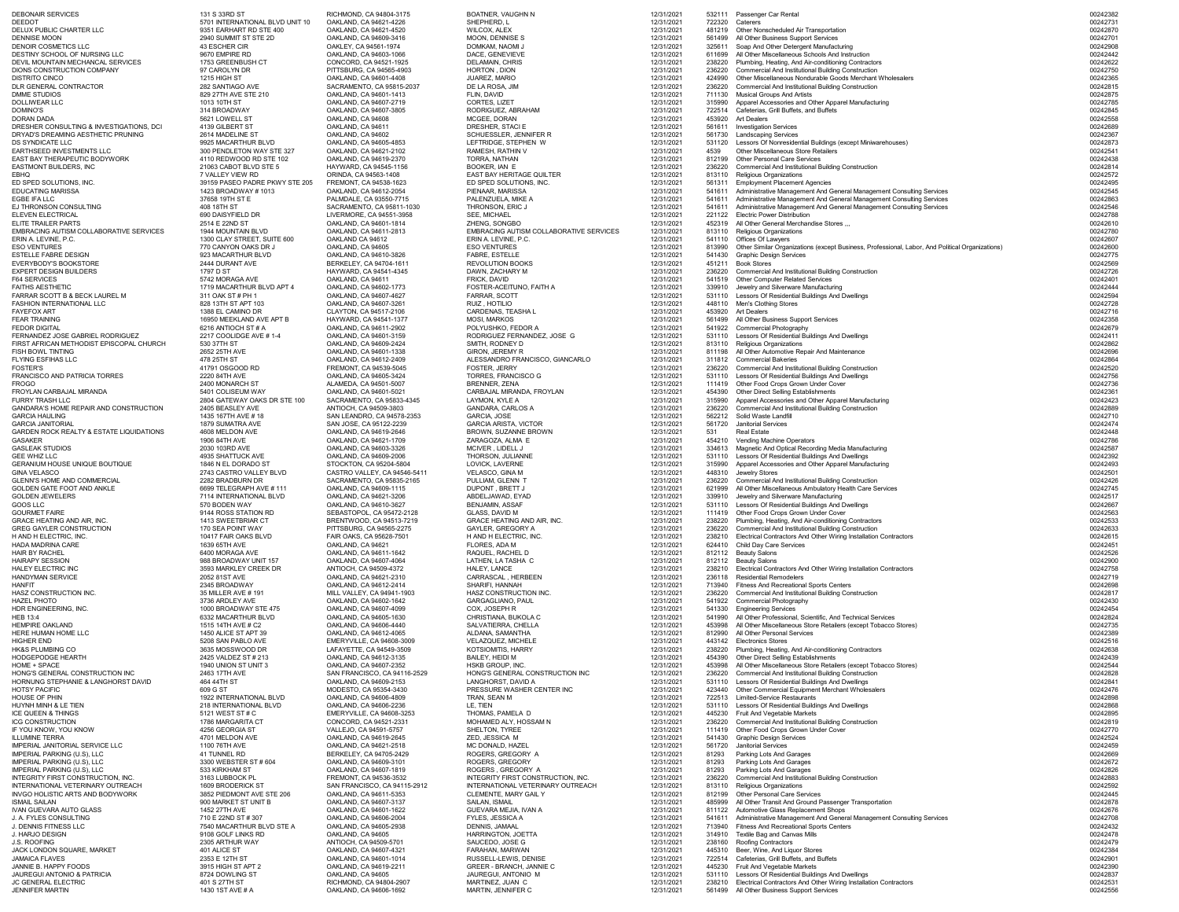| <b>DEBONAIR SERVICES</b><br><b>DEEDOT</b>                                    | 131 S 33RD ST<br>5701 INTERNATIONAL BLVD UNIT 10     | RICHMOND, CA 94804-3175<br>OAKLAND, CA 94621-4226     | <b>BOATNER, VAUGHN N</b><br>SHEPHERD, L                 | 12/31/2021<br>12/31/2021 | 722320           | 532111 Passenger Car Rental<br>Caterers                                                                            | 00242382<br>00242731 |
|------------------------------------------------------------------------------|------------------------------------------------------|-------------------------------------------------------|---------------------------------------------------------|--------------------------|------------------|--------------------------------------------------------------------------------------------------------------------|----------------------|
| DELUX PUBLIC CHARTER LLC                                                     | 9351 EARHART RD STE 400                              | OAKLAND, CA 94621-4520                                | <b>WILCOX, ALEX</b>                                     | 12/31/2021               | 481219           | Other Nonscheduled Air Transportation                                                                              | 00242870             |
| DENNISE MOON                                                                 | 2940 SUMMIT ST STE 2D                                | OAKLAND, CA 94609-3416                                | MOON, DENNISE S                                         | 12/31/2021               | 561499           | All Other Business Support Services                                                                                | 00242701             |
| <b>DENOIR COSMETICS LLC</b>                                                  | 43 ESCHER CIR                                        | OAKLEY, CA 94561-1974                                 | DOMKAM, NAOMI J                                         | 12/31/2021               | 325611           | Soap And Other Detergent Manufacturing                                                                             | 00242908             |
| DESTINY SCHOOL OF NURSING LLC<br>DEVIL MOUNTAIN MECHANCAL SERVICES           | 9670 EMPIRE RD<br>1753 GREENBUSH CT                  | OAKLAND, CA 94603-1066<br>CONCORD, CA 94521-1925      | DACE, GENEVIEVE<br><b>DELAMAIN, CHRIS</b>               | 12/31/2021<br>12/31/2021 | 611699<br>238220 | All Other Miscellaneous Schools And Instruction<br>Plumbing, Heating, And Air-conditioning Contractors             | 00242442<br>00242622 |
| DIONS CONSTRUCTION COMPANY                                                   | 97 CAROLYN DR                                        | PITTSBURG, CA 94565-4903                              | HORTON, DION                                            | 12/31/2021               | 236220           | <b>Commercial And Institutional Building Construction</b>                                                          | 00242750             |
| <b>DISTRITO CINCO</b>                                                        | 1215 HIGH ST                                         | OAKLAND, CA 94601-4408                                | JUAREZ, MARIO                                           | 12/31/2021               | 424990           | Other Miscellaneous Nondurable Goods Merchant Wholesalers                                                          | 00242365             |
| DLR GENERAL CONTRACTOR                                                       | 282 SANTIAGO AVE                                     | SACRAMENTO, CA 95815-2037                             | DE LA ROSA, JIM                                         | 12/31/2021               | 236220           | <b>Commercial And Institutional Building Construction</b>                                                          | 00242815             |
| DMME STUDIOS                                                                 | 829 27TH AVE STE 210                                 | OAKLAND, CA 94601-1413                                | FLIN, DAVID                                             | 12/31/2021               |                  | 711130 Musical Groups And Artists                                                                                  | 00242875             |
| DOLLIWEAR LLC<br>DOMINO'S                                                    | 1013 10TH ST<br>314 BROADWAY                         | OAKLAND, CA 94607-2719<br>OAKLAND, CA 94607-3805      | <b>CORTES, LIZET</b><br>RODRIGUEZ, ABRAHAM              | 12/31/2021<br>12/31/2021 |                  | 315990 Apparel Accessories and Other Apparel Manufacturing<br>722514 Cafeterias, Grill Buffets, and Buffets        | 00242785<br>00242845 |
| <b>DORAN DADA</b>                                                            | 5621 LOWELL ST                                       | OAKLAND, CA 94608                                     | MCGEE, DORAN                                            | 12/31/2021               | 453920           | <b>Art Dealers</b>                                                                                                 | 00242558             |
| DRESHER CONSULTING & INVESTIGATIONS, DCI                                     | 4139 GILBERT ST                                      | OAKLAND, CA 94611                                     | DRESHER, STACI E                                        | 12/31/2021               | 561611           | <b>Investigation Services</b>                                                                                      | 00242689             |
| DRYAD'S DREAMING AESTHETIC PRUNING                                           | 2614 MADELINE ST                                     | OAKLAND, CA 94602                                     | <b>SCHUESSLER, JENNIFER R</b>                           | 12/31/2021               | 561730           | <b>Landscaping Services</b>                                                                                        | 00242367             |
| DS SYNDICATE LLC                                                             | 9925 MACARTHUR BLVD                                  | OAKLAND, CA 94605-4853                                | LEFTRIDGE, STEPHEN W                                    | 12/31/2021               | 531120           | Lessors Of Nonresidential Buildings (except Miniwarehouses)                                                        | 00242873             |
| EARTHSEED INVESTMENTS LLC<br>EAST BAY THERAPEUTIC BODYWORK                   | 300 PENDLETON WAY STE 327<br>4110 REDWOOD RD STE 102 | OAKLAND, CA 94621-2102<br>OAKLAND, CA 94619-2370      | RAMESH, RATHIN V                                        | 12/31/2021<br>12/31/2021 | 4539             | <b>Other Miscellaneous Store Retailers</b><br><b>Other Personal Care Services</b>                                  | 00242541<br>00242438 |
| EASTMONT BUILDERS, INC                                                       | 21063 CABOT BLVD STE 5                               | HAYWARD, CA 94545-1156                                | TORRA, NATHAN<br>BOOKER, IAN E                          | 12/31/2021               | 812199<br>236220 | <b>Commercial And Institutional Building Construction</b>                                                          | 00242814             |
| EBHQ                                                                         | 7 VALLEY VIEW RD                                     | ORINDA, CA 94563-1408                                 | <b>EAST BAY HERITAGE QUILTER</b>                        | 12/31/2021               |                  | 813110 Religious Organizations                                                                                     | 00242572             |
| ED SPED SOLUTIONS, INC.                                                      | 39159 PASEO PADRE PKWY STE 205                       | FREMONT, CA 94538-1623                                | ED SPED SOLUTIONS, INC.                                 | 12/31/2021               | 561311           | <b>Employment Placement Agencies</b>                                                                               | 00242495             |
| <b>EDUCATING MARISSA</b>                                                     | 1423 BROADWAY # 1013                                 | OAKLAND, CA 94612-2054                                | PIENAAR, MARISSA                                        | 12/31/2021               |                  | 541611 Administrative Management And General Management Consulting Services                                        | 00242545             |
| EGBE IFA LLC                                                                 | 37658 19TH ST E                                      | PALMDALE, CA 93550-7715                               | PALENZUELA, MIKE A                                      | 12/31/2021               |                  | 541611 Administrative Management And General Management Consulting Services                                        | 00242863             |
| EJ THRONSON CONSULTING<br>ELEVEN ELECTRICAL                                  | 408 18TH ST<br>690 DAISYFIELD DR                     | SACRAMENTO, CA 95811-1030<br>LIVERMORE, CA 94551-3958 | THRONSON, ERIC J<br><b>SEE, MICHAEL</b>                 | 12/31/2021<br>12/31/2021 | 221122           | 541611 Administrative Management And General Management Consulting Services<br><b>Electric Power Distribution</b>  | 00242546<br>00242788 |
| <b>ELITE TRAILER PARTS</b>                                                   | 2514 E 22ND ST                                       | OAKLAND, CA 94601-1814                                | ZHENG, SONGBO                                           | 12/31/2021               | 452319           | All Other General Merchandise Stores                                                                               | 00242610             |
| EMBRACING AUTISM COLLABORATIVE SERVICES                                      | 1944 MOUNTAIN BLVD                                   | OAKLAND, CA 94611-2813                                | <b>EMBRACING AUTISM COLLABORATIVE SERVICES</b>          | 12/31/2021               | 813110           | <b>Religious Organizations</b>                                                                                     | 00242780             |
| ERIN A. LEVINE, P.C.                                                         | 1300 CLAY STREET, SUITE 600                          | OAKLAND CA 94612                                      | ERIN A. LEVINE, P.C.                                    | 12/31/2021               | 541110           | Offices Of Lawyers                                                                                                 | 00242607             |
| <b>ESO VENTURES</b>                                                          | 770 CANYON OAKS DR J                                 | OAKLAND, CA 94605                                     | <b>ESO VENTURES</b>                                     | 12/31/2021               |                  | Other Similar Organizations (except Business, Professional, Labor, And Political Organizations)                    | 00242600             |
| ESTELLE FABRE DESIGN<br>EVERYBODY'S BOOKSTORE                                | 923 MACARTHUR BLVD<br>2444 DURANT AVE                | OAKLAND, CA 94610-3826<br>BERKELEY, CA 94704-1611     | <b>FABRE, ESTELLE</b><br><b>REVOLUTION BOOKS</b>        | 12/31/2021<br>12/31/2021 | 541430<br>451211 | <b>Graphic Design Services</b><br><b>Book Stores</b>                                                               | 00242775<br>00242569 |
| <b>EXPERT DESIGN BUILDERS</b>                                                | 1797 D ST                                            | HAYWARD, CA 94541-4345                                | DAWN, ZACHARY M                                         | 12/31/2021               | 236220           | <b>Commercial And Institutional Building Construction</b>                                                          | 00242726             |
| <b>F64 SERVICES</b>                                                          | 5742 MORAGA AVE                                      | OAKLAND, CA 94611                                     | FRICK, DAVID                                            | 12/31/2021               |                  | 541519 Other Computer Related Services                                                                             | 00242401             |
| <b>FAITHS AESTHETIC</b>                                                      | 1719 MACARTHUR BLVD APT 4                            | OAKLAND, CA 94602-1773                                | FOSTER-ACEITUNO, FAITH A                                | 12/31/2021               |                  | 339910 Jewelry and Silverware Manufacturing                                                                        | 00242444             |
| FARRAR SCOTT B & BECK LAUREL M                                               | 311 OAK ST # PH 1                                    | OAKLAND, CA 94607-4627                                | FARRAR, SCOTT                                           | 12/31/2021               |                  | 531110 Lessors Of Residential Buildings And Dwellings                                                              | 00242594             |
| <b>FASHION INTERNATIONAL LLC</b><br>FAYEFOX ART                              | 828 13TH ST APT 103<br>1388 EL CAMINO DR             | OAKLAND, CA 94607-3261<br>CLAYTON, CA 94517-2106      | RUIZ, HOTILIO<br><b>CARDENAS, TEASHA L</b>              | 12/31/2021<br>12/31/2021 | 453920           | 448110 Men's Clothing Stores<br><b>Art Dealers</b>                                                                 | 00242728<br>00242716 |
| <b>FEAR TRAINING</b>                                                         | 16950 MEEKLAND AVE APT B                             | HAYWARD, CA 94541-1377                                | <b>MOSI, MARKOS</b>                                     | 12/31/2021               |                  | 561499 All Other Business Support Services                                                                         | 00242358             |
| <b>FEDOR DIGITAL</b>                                                         | 6216 ANTIOCH ST # A                                  | OAKLAND, CA 94611-2902                                | POLYUSHKO, FEDOR A                                      | 12/31/2021               |                  | 541922 Commercial Photography                                                                                      | 00242679             |
| FERNANDEZ JOSE GABRIEL RODRIGUEZ                                             | 2217 COOLIDGE AVE #1-4                               | OAKLAND, CA 94601-3159                                | RODRIGUEZ FERNANDEZ, JOSE G                             | 12/31/2021               |                  | Lessors Of Residential Buildings And Dwellings                                                                     | 00242411             |
| FIRST AFRICAN METHODIST EPISCOPAL CHURCH                                     | 530 37TH ST                                          | OAKLAND, CA 94609-2424                                | SMITH, RODNEY D                                         | 12/31/2021               |                  | 813110 Religious Organizations                                                                                     | 00242862             |
| <b>FISH BOWL TINTING</b><br><b>FLYING ESFIHAS LLC</b>                        | 2652 25TH AVE<br>478 25TH ST                         | OAKLAND, CA 94601-1338                                | <b>GIRON, JEREMY R</b>                                  | 12/31/2021               |                  | 811198 All Other Automotive Repair And Maintenance<br>311812 Commercial Bakeries                                   | 00242696<br>00242864 |
| FOSTER'S                                                                     | 41791 OSGOOD RD                                      | OAKLAND, CA 94612-2409<br>FREMONT, CA 94539-5045      | ALESSANDRO FRANCISCO, GIANCARLO<br><b>FOSTER, JERRY</b> | 12/31/2021<br>12/31/2021 | 236220           | <b>Commercial And Institutional Building Construction</b>                                                          | 00242520             |
| FRANCISCO AND PATRICIA TORRES                                                | 2220 84TH AVE                                        | OAKLAND, CA 94605-3424                                | <b>TORRES, FRANCISCO G</b>                              | 12/31/2021               |                  | 531110 Lessors Of Residential Buildings And Dwellings                                                              | 00242756             |
| FROGO                                                                        | 2400 MONARCH ST                                      | ALAMEDA, CA 94501-5007                                | <b>BRENNER, ZENA</b>                                    | 12/31/2021               |                  | 111419 Other Food Crops Grown Under Cover                                                                          | 00242736             |
| FROYLAN CARBAJAL MIRANDA                                                     | 5401 COLISEUM WAY                                    | OAKLAND, CA 94601-5021                                | CARBAJAL MIRANDA, FROYLAN                               | 12/31/2021               | 454390           | <b>Other Direct Selling Establishments</b>                                                                         | 00242361             |
| <b>FURRY TRASH LLC</b><br>GANDARA'S HOME REPAIR AND CONSTRUCTION             | 2804 GATEWAY OAKS DR STE 100<br>2405 BEASLEY AVE     | SACRAMENTO, CA 95833-4345<br>ANTIOCH, CA 94509-3803   | LAYMON, KYLE A<br><b>GANDARA, CARLOS A</b>              | 12/31/2021<br>12/31/2021 | 315990<br>236220 | Apparel Accessories and Other Apparel Manufacturing<br><b>Commercial And Institutional Building Construction</b>   | 00242423<br>00242889 |
| <b>GARCIA HAULING</b>                                                        | 1435 167TH AVE # 18                                  | SAN LEANDRO, CA 94578-2353                            | <b>GARCIA, JOSE</b>                                     | 12/31/2021               |                  | 562212 Solid Waste Landfill                                                                                        | 00242710             |
| <b>GARCIA JANITORIAL</b>                                                     | 1879 SUMATRA AVE                                     | SAN JOSE, CA 95122-2239                               | <b>GARCIA ARISTA, VICTOR</b>                            | 12/31/2021               | 561720           | <b>Janitorial Services</b>                                                                                         | 00242474             |
| <b>GARDEN ROCK REALTY &amp; ESTATE LIQUIDATIONS</b>                          | 4608 MELDON AVE                                      | OAKLAND, CA 94619-2646                                | BROWN, SUZANNE BROWN                                    | 12/31/2021               | 531              | <b>Real Estate</b>                                                                                                 | 00242448             |
| <b>GASAKER</b>                                                               | 1906 84TH AVE                                        | OAKLAND, CA 94621-1709                                | ZARAGOZA, ALMA E                                        | 12/31/2021               | 454210           | <b>Vending Machine Operators</b>                                                                                   | 00242786             |
| <b>GASLEAK STUDIOS</b><br><b>GEE WHIZ LLC</b>                                | 2030 103RD AVE<br>4935 SHATTUCK AVE                  | OAKLAND, CA 94603-3326<br>OAKLAND, CA 94609-2006      | MCIVER, LIDELL J<br>THORSON, JULIANNE                   | 12/31/2021<br>12/31/2021 |                  | 334613 Magnetic And Optical Recording Media Manufacturing<br>531110 Lessors Of Residential Buildings And Dwellings | 00242587<br>00242392 |
| GERANIUM HOUSE UNIQUE BOUTIQUE                                               | 1846 N EL DORADO ST                                  | STOCKTON, CA 95204-5804                               | LOVICK, LAVERNE                                         | 12/31/2021               | 315990           | Apparel Accessories and Other Apparel Manufacturing                                                                | 00242493             |
| <b>GINA VELASCO</b>                                                          | 2743 CASTRO VALLEY BLVD                              | CASTRO VALLEY, CA 94546-5411                          | VELASCO, GINA M                                         | 12/31/2021               |                  | 448310 Jewelry Stores                                                                                              | 00242501             |
| <b>GLENN'S HOME AND COMMERCIAL</b>                                           | 2282 BRADBURN DR                                     | SACRAMENTO, CA 95835-2165                             | PULLIAM, GLENN T                                        | 12/31/2021               |                  | 236220 Commercial And Institutional Building Construction                                                          | 00242426             |
| GOLDEN GATE FOOT AND ANKLE                                                   | 6699 TELEGRAPH AVE # 111                             | OAKLAND, CA 94609-1115                                | DUPONT, BRETT J                                         | 12/31/2021               |                  | 621999 All Other Miscellaneous Ambulatory Health Care Services                                                     | 00242745             |
| <b>GOLDEN JEWELERS</b>                                                       | 7114 INTERNATIONAL BLVD                              | OAKLAND, CA 94621-3206                                | ABDELJAWAD, EYAD                                        | 12/31/2021               |                  | 339910 Jewelry and Silverware Manufacturing                                                                        | 00242517             |
| GOOS LLC<br><b>GOURMET FAIRE</b>                                             | 570 BODEN WAY<br>9144 ROSS STATION RD                | OAKLAND, CA 94610-3627<br>SEBASTOPOL, CA 95472-2128   | <b>BENJAMIN, ASSAF</b><br><b>GLASS, DAVID M</b>         | 12/31/2021<br>12/31/2021 |                  | Lessors Of Residential Buildings And Dwellings<br>111419 Other Food Crops Grown Under Cover                        | 00242667<br>00242563 |
| <b>GRACE HEATING AND AIR, INC.</b>                                           | 1413 SWEETBRIAR CT                                   | BRENTWOOD, CA 94513-7219                              | <b>GRACE HEATING AND AIR, INC.</b>                      | 12/31/2021               | 238220           | Plumbing, Heating, And Air-conditioning Contractors                                                                | 00242533             |
| <b>GREG GAYLER CONSTRUCTION</b>                                              | 170 SEA POINT WAY                                    | PITTSBURG, CA 94565-2275                              | <b>GAYLER, GREGORY A</b>                                | 12/31/2021               |                  | 236220 Commercial And Institutional Building Construction                                                          | 00242633             |
| H AND H ELECTRIC, INC.                                                       | 10417 FAIR OAKS BLVD                                 | FAIR OAKS, CA 95628-7501                              | H AND H ELECTRIC, INC.                                  | 12/31/2021               | 238210           | Electrical Contractors And Other Wiring Installation Contractors                                                   | 00242615             |
| HADA MADRINA CARE                                                            | 1639 65TH AVE                                        | OAKLAND, CA 94621                                     | FLORES, ADA M                                           | 12/31/2021               |                  | 624410 Child Day Care Services                                                                                     | 00242451             |
| <b>HAIR BY RACHEL</b><br><b>HAIRAPY SESSION</b>                              | 6400 MORAGA AVE<br>988 BROADWAY UNIT 157             | OAKLAND, CA 94611-1642<br>OAKLAND, CA 94607-4064      | RAQUEL, RACHEL D<br>LATHEN, LA TASHA C                  | 12/31/2021<br>12/31/2021 | 812112           | <b>Beauty Salons</b><br>812112 Beauty Salons                                                                       | 00242526<br>00242900 |
| HALEY ELECTRIC INC                                                           | 3593 MARKLEY CREEK DR                                | ANTIOCH, CA 94509-4372                                | HALEY, LANCE                                            | 12/31/2021               | 238210           | Electrical Contractors And Other Wiring Installation Contractors                                                   | 00242758             |
| <b>HANDYMAN SERVICE</b>                                                      | 2052 81ST AVE                                        | OAKLAND, CA 94621-2310                                | CARRASCAL, HERBEEN                                      | 12/31/2021               |                  | 236118 Residential Remodelers                                                                                      | 00242719             |
| HANFIT                                                                       | 2345 BROADWAY                                        | OAKLAND, CA 94612-2414                                | SHARIFI, HANNAH                                         | 12/31/2021               |                  | 713940 Fitness And Recreational Sports Centers                                                                     | 00242698             |
| HASZ CONSTRUCTION INC.                                                       | 35 MILLER AVE # 191                                  | MILL VALLEY, CA 94941-1903                            | HASZ CONSTRUCTION INC.                                  | 12/31/2021               | 236220           | <b>Commercial And Institutional Building Construction</b>                                                          | 00242817             |
| <b>HAZEL PHOTO</b><br>HDR ENGINEERING, INC.                                  | 3736 ARDLEY AVE<br>1000 BROADWAY STE 475             | OAKLAND, CA 94602-1642<br>OAKLAND, CA 94607-4099      | <b>GARGAGLIANO, PAUL</b><br>COX, JOSEPH R               | 12/31/2021<br>12/31/2021 | 541330           | 541922 Commercial Photography<br><b>Engineering Services</b>                                                       | 00242430<br>00242454 |
| HEB 13:4                                                                     | 6332 MACARTHUR BLVD                                  | OAKLAND, CA 94605-1630                                | CHRISTIANA, BUKOLA C                                    | 12/31/2021               |                  | 541990 All Other Professional, Scientific, And Technical Services                                                  | 00242824             |
| <b>HEMPIRE OAKLAND</b>                                                       | 1515 14TH AVE # C2                                   | OAKLAND, CA 94606-4440                                | SALVATIERRA, CHELLA                                     | 12/31/2021               |                  | 453998 All Other Miscellaneous Store Retailers (except Tobacco Stores)                                             | 00242735             |
| HERE HUMAN HOME LLC                                                          | 1450 ALICE ST APT 39                                 | OAKLAND, CA 94612-4065                                | ALDANA, SAMANTHA                                        | 12/31/2021               |                  | 812990 All Other Personal Services                                                                                 | 00242389             |
| HIGHER END<br><b>HK&amp;S PLUMBING CO</b>                                    | 5208 SAN PABLO AVE                                   | EMERYVILLE, CA 94608-3009                             | VELAZQUEZ, MICHELE                                      | 12/31/2021               |                  | 443142 Electronics Stores                                                                                          | 00242516<br>00242638 |
| <b>HODGEPODGE HEARTH</b>                                                     | 3635 MOSSWOOD DR<br>2425 VALDEZ ST # 213             | LAFAYETTE, CA 94549-3509<br>OAKLAND, CA 94612-3135    | <b>KOTSIOMITIS, HARRY</b><br><b>BAILEY, HEIDI M</b>     | 12/31/2021<br>12/31/2021 | 238220           | Plumbing, Heating, And Air-conditioning Contractors<br>454390 Other Direct Selling Establishments                  | 00242439             |
| <b>HOME + SPACE</b>                                                          | 1940 UNION ST UNIT 3                                 | OAKLAND, CA 94607-2352                                | HSKB GROUP, INC.                                        | 12/31/2021               |                  | 453998 All Other Miscellaneous Store Retailers (except Tobacco Stores)                                             | 00242544             |
| HONG'S GENERAL CONSTRUCTION INC                                              | 2463 17TH AVE                                        | SAN FRANCISCO, CA 94116-2529                          | HONG'S GENERAL CONSTRUCTION INC                         | 12/31/2021               | 236220           | <b>Commercial And Institutional Building Construction</b>                                                          | 00242828             |
| HORNUNG STEPHANIE & LANGHORST DAVID                                          | 464 44TH ST                                          | OAKLAND, CA 94609-2153                                | LANGHORST, DAVID A                                      | 12/31/2021               |                  | 531110 Lessors Of Residential Buildings And Dwellings                                                              | 00242841             |
| <b>HOTSY PACIFIC</b>                                                         | 609 G ST                                             | MODESTO, CA 95354-3430                                | PRESSURE WASHER CENTER INC                              | 12/31/2021               |                  | 423440 Other Commercial Equipment Merchant Wholesalers                                                             | 00242476             |
| HOUSE OF PHIN<br>HUYNH MINH & LE TIEN                                        | 1922 INTERNATIONAL BLVD<br>218 INTERNATIONAL BLVD    | OAKLAND, CA 94606-4809<br>OAKLAND, CA 94606-2236      | TRAN, SEAN M<br>LE, TIEN                                | 12/31/2021<br>12/31/2021 |                  | 722513 Limited-Service Restaurants<br>531110 Lessors Of Residential Buildings And Dwellings                        | 00242898<br>00242868 |
| ICE QUEEN & THINGS                                                           | 5121 WEST ST # C                                     | <b>EMERYVILLE, CA 94608-3253</b>                      | THOMAS, PAMELA D                                        | 12/31/2021               | 445230           | <b>Fruit And Vegetable Markets</b>                                                                                 | 00242895             |
| ICG CONSTRUCTION                                                             | 1786 MARGARITA CT                                    | CONCORD, CA 94521-2331                                | MOHAMED ALY, HOSSAM N                                   | 12/31/2021               | 236220           | <b>Commercial And Institutional Building Construction</b>                                                          | 00242819             |
| IF YOU KNOW, YOU KNOW                                                        | 4256 GEORGIA ST                                      | VALLEJO, CA 94591-5757                                | <b>SHELTON, TYREE</b>                                   | 12/31/2021               |                  | 111419 Other Food Crops Grown Under Cover                                                                          | 00242770             |
| <b>ILLUMINE TERRA</b>                                                        | 4701 MELDON AVE                                      | OAKLAND, CA 94619-2645                                | ZED, JESSICA M                                          | 12/31/2021               | 541430           | <b>Graphic Design Services</b>                                                                                     | 00242524             |
| <b>IMPERIAL JANITORIAL SERVICE LLC</b><br><b>IMPERIAL PARKING (U.S), LLC</b> | 1100 76TH AVE<br>41 TUNNEL RD                        | OAKLAND, CA 94621-2518<br>BERKELEY, CA 94705-2429     | MC DONALD, HAZEL<br>ROGERS, GREGORY A                   | 12/31/2021<br>12/31/2021 | 561720<br>81293  | <b>Janitorial Services</b><br>Parking Lots And Garages                                                             | 00242459<br>00242669 |
| <b>IMPERIAL PARKING (U.S), LLC</b>                                           | 3300 WEBSTER ST # 604                                | OAKLAND, CA 94609-3101                                | ROGERS, GREGORY                                         | 12/31/2021               | 81293            | Parking Lots And Garages                                                                                           | 00242672             |
| <b>IMPERIAL PARKING (U.S), LLC</b>                                           | 533 KIRKHAM ST                                       | OAKLAND, CA 94607-1819                                | ROGERS, GREGORY A                                       | 12/31/2021               | 81293            | <b>Parking Lots And Garages</b>                                                                                    | 00242826             |
| INTEGRITY FIRST CONSTRUCTION, INC.                                           | 3163 LUBBOCK PL                                      | FREMONT, CA 94536-3532                                | INTEGRITY FIRST CONSTRUCTION, INC.                      | 12/31/2021               | 236220           | <b>Commercial And Institutional Building Construction</b>                                                          | 00242883             |
| INTERNATIONAL VETERINARY OUTREACH                                            | 1609 BRODERICK ST                                    | SAN FRANCISCO, CA 94115-2912                          | INTERNATIONAL VETERINARY OUTREACH                       | 12/31/2021               | 813110           | <b>Religious Organizations</b>                                                                                     | 00242592             |
| <b>INVGO HOLISTIC ARTS AND BODYWORK</b><br><b>ISMAIL SAILAN</b>              | 3852 PIEDMONT AVE STE 206<br>900 MARKET ST UNIT B    | OAKLAND, CA 94611-5353<br>OAKLAND, CA 94607-3137      | <b>CLEMENTE, MARY GAIL Y</b><br><b>SAILAN, ISMAIL</b>   | 12/31/2021<br>12/31/2021 | 485999           | 812199 Other Personal Care Services<br>All Other Transit And Ground Passenger Transportation                       | 00242445<br>00242878 |
| <b>IVAN GUEVARA AUTO GLASS</b>                                               | 1452 27TH AVE                                        | OAKLAND, CA 94601-1622                                | GUEVARA MEJIA, IVAN A                                   | 12/31/2021               |                  | 811122 Automotive Glass Replacement Shops                                                                          | 00242676             |
| J. A. FYLES CONSULTING                                                       | 710 E 22ND ST # 307                                  | OAKLAND, CA 94606-2004                                | <b>FYLES, JESSICA A</b>                                 | 12/31/2021               | 541611           | Administrative Management And General Management Consulting Services                                               | 00242708             |
| J. DENNIS FITNESS LLC                                                        | 7540 MACARTHUR BLVD STE A                            | OAKLAND, CA 94605-2938                                | DENNIS, JAMAAL                                          | 12/31/2021               | 713940           | <b>Fitness And Recreational Sports Centers</b>                                                                     | 00242432             |
| J. HARJO DESIGN                                                              | 9108 GOLF LINKS RD                                   | OAKLAND, CA 94605                                     | HARRINGTON, JOETTA                                      | 12/31/2021               |                  | 314910 Textile Bag and Canvas Mills                                                                                | 00242478             |
| J.S. ROOFING                                                                 | 2305 ARTHUR WAY                                      | ANTIOCH, CA 94509-5701                                | SAUCEDO, JOSE G                                         | 12/31/2021               |                  | 238160 Roofing Contractors                                                                                         | 00242479             |
| JACK LONDON SQUARE, MARKET<br><b>JAMAICA FLAVES</b>                          | 401 ALICE ST<br>2353 E 12TH ST                       | OAKLAND, CA 94607-4321<br>OAKLAND, CA 94601-1014      | FARAHAN, MARWAN<br>RUSSELL-LEWIS, DENISE                | 12/31/2021<br>12/31/2021 | 445310<br>722514 | Beer, Wine, And Liquor Stores<br>Cafeterias, Grill Buffets, and Buffets                                            | 00242384<br>00242901 |
| JANNIE B. HAPPY FOODS                                                        | 3915 HIGH ST APT 2                                   | OAKLAND, CA 94619-2211                                | <b>GREER - BRANCH, JANNIE C</b>                         | 12/31/2021               |                  | 445230 Fruit And Vegetable Markets                                                                                 | 00242390             |
| JAUREGUI ANTONIO & PATRICIA                                                  | 8724 DOWLING ST                                      | OAKLAND, CA 94605                                     | JAUREGUI, ANTONIO M                                     | 12/31/2021               |                  | 531110 Lessors Of Residential Buildings And Dwellings                                                              | 00242837             |
| JC GENERAL ELECTRIC                                                          | 401 S 27TH ST                                        | RICHMOND, CA 94804-2907                               | MARTINEZ, JUAN C                                        | 12/31/2021               | 238210           | Electrical Contractors And Other Wiring Installation Contractors                                                   | 00242531             |
| <b>JENNIFER MARTIN</b>                                                       | 1430 1ST AVE # A                                     | OAKLAND, CA 94606-1692                                | MARTIN, JENNIFER C                                      | 12/31/2021               |                  | 561499 All Other Business Support Services                                                                         | 00242556             |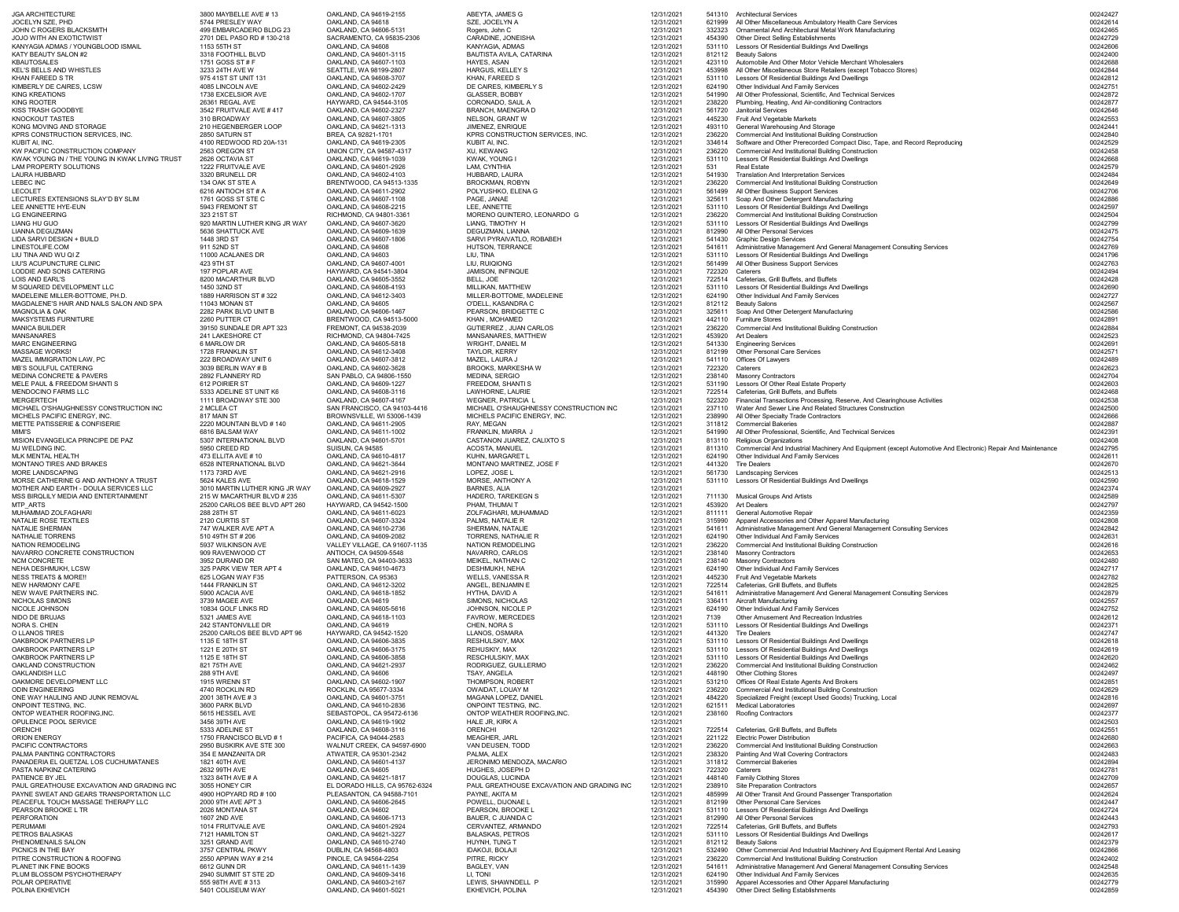| <b>JGA ARCHITECTURE</b><br>JOCELYN SZE, PHD                                    | 3800 MAYBELLE AVE #13<br>5744 PRESLEY WAY           | OAKLAND, CA 94619-2155<br>OAKLAND, CA 94618         | ABEYTA, JAMES G<br>SZE, JOCELYN A                          | 12/31/2021<br>12/31/2021 | 621999           | 541310 Architectural Services<br>All Other Miscellaneous Ambulatory Health Care Services                                               | 00242427<br>00242614 |
|--------------------------------------------------------------------------------|-----------------------------------------------------|-----------------------------------------------------|------------------------------------------------------------|--------------------------|------------------|----------------------------------------------------------------------------------------------------------------------------------------|----------------------|
| JOHN C ROGERS BLACKSMITH                                                       | 499 EMBARCADERO BLDG 23                             | OAKLAND, CA 94606-5131                              | Rogers, John C                                             | 12/31/2021               | 332323           | Ornamental And Architectural Metal Work Manufacturing                                                                                  | 00242465             |
| <b>JOJO WITH AN EXOTICTWIST</b>                                                | 2701 DEL PASO RD # 130-218                          | SACRAMENTO, CA 95835-2306                           | CARADINE, JONEISHA                                         | 12/31/2021               | 454390           | <b>Other Direct Selling Establishments</b>                                                                                             | 00242729             |
| KANYAGIA ADMAS / YOUNGBLOOD ISMAIL                                             | 1153 55TH ST                                        | OAKLAND, CA 94608                                   | KANYAGIA, ADMAS                                            | 12/31/2021               | 531110           | Lessors Of Residential Buildings And Dwellings                                                                                         | 00242606             |
| KATY BEAUTY SALON #2<br>KBAUTOSALES                                            | 3318 FOOTHILL BLVD<br>1751 GOSS ST # F              | OAKLAND, CA 94601-3115<br>OAKLAND, CA 94607-1103    | <b>BAUTISTA AVILA, CATARINA</b><br>HAYES, ASAN             | 12/31/2021<br>12/31/2021 | 812112<br>423110 | Beauty Salons<br>Automobile And Other Motor Vehicle Merchant Wholesalers                                                               | 00242400<br>00242688 |
| KEL'S BELLS AND WHISTLES                                                       | 3233 24TH AVE W                                     | SEATTLE, WA 98199-2807                              | <b>HARGUS, KELLEY S</b>                                    | 12/31/2021               |                  | All Other Miscellaneous Store Retailers (except Tobacco Stores)                                                                        | 00242844             |
| KHAN FAREED S TR                                                               | 975 41ST ST UNIT 131                                | OAKLAND, CA 94608-3707                              | KHAN, FAREED S                                             | 12/31/2021               | 531110           | Lessors Of Residential Buildings And Dwellings                                                                                         | 00242812             |
| KIMBERLY DE CAIRES, LCSW                                                       | 4085 LINCOLN AVE<br>1738 EXCELSIOR AVE              | OAKLAND, CA 94602-2429<br>OAKLAND, CA 94602-1707    | DE CAIRES, KIMBERLY S<br><b>GLASSER, BOBBY</b>             | 12/31/2021<br>12/31/2021 | 541990           | 624190 Other Individual And Family Services<br>All Other Professional, Scientific, And Technical Services                              | 00242751<br>00242872 |
| KING KREATIONS<br>KING ROOTER                                                  | 26361 REGAL AVE                                     | HAYWARD, CA 94544-3105                              | CORONADO, SAUL A                                           | 12/31/2021               | 238220           | Plumbing, Heating, And Air-conditioning Contractors                                                                                    | 00242877             |
| KISS TRASH GOODBYE                                                             | 3542 FRUITVALE AVE #417                             | OAKLAND, CA 94602-2327                              | <b>BRANCH, MAENGRA D</b>                                   | 12/31/2021               | 561720           | <b>Janitorial Services</b>                                                                                                             | 00242646             |
| KNOCKOUT TASTES                                                                | 310 BROADWAY                                        | OAKLAND, CA 94607-3805                              | <b>NELSON, GRANT W</b>                                     | 12/31/2021               | 445230           | <b>Fruit And Vegetable Markets</b>                                                                                                     | 00242553             |
| KONG MOVING AND STORAGE                                                        | 210 HEGENBERGER LOOP                                | OAKLAND, CA 94621-1313                              | <b>JIMENEZ, ENRIQUE</b>                                    | 12/31/2021               | 493110           | <b>General Warehousing And Storage</b>                                                                                                 | 00242441             |
| KPRS CONSTRUCTION SERVICES, INC.<br>KUBIT AI, INC.                             | 2850 SATURN ST<br>4100 REDWOOD RD 20A-131           | BREA, CA 92821-1701<br>OAKLAND, CA 94619-2305       | KPRS CONSTRUCTION SERVICES, INC.<br>KUBIT AI, INC.         | 12/31/2021<br>12/31/2021 | 236220<br>334614 | <b>Commercial And Institutional Building Construction</b><br>Software and Other Prerecorded Compact Disc, Tape, and Record Reproducing | 00242840<br>00242529 |
| KW PACIFIC CONSTRUCTION COMPANY                                                | 2563 OREGON ST                                      | UNION CITY, CA 94587-4317                           | XU, KEWANG                                                 | 12/31/2021               | 236220           | <b>Commercial And Institutional Building Construction</b>                                                                              | 00242458             |
| KWAK YOUNG IN / THE YOUNG IN KWAK LIVING TRUST                                 | 2626 OCTAVIA ST                                     | OAKLAND, CA 94619-1039                              | KWAK, YOUNG I                                              | 12/31/2021               | 531110           | Lessors Of Residential Buildings And Dwellings                                                                                         | 00242668             |
| LAM PROPERTY SOLUTIONS                                                         | 1222 FRUITVALE AVE                                  | OAKLAND, CA 94601-2926                              | LAM, CYNTHIA                                               | 12/31/2021               | 531              | <b>Real Estate</b>                                                                                                                     | 00242579             |
| LAURA HUBBARD<br><b>LEBEC INC</b>                                              | 3320 BRUNELL DR<br>134 OAK ST STE A                 | OAKLAND, CA 94602-4103<br>BRENTWOOD, CA 94513-1335  | HUBBARD, LAURA<br><b>BROCKMAN, ROBYN</b>                   | 12/31/2021<br>12/31/2021 | 541930<br>236220 | <b>Translation And Interpretation Services</b><br><b>Commercial And Institutional Building Construction</b>                            | 00242484<br>00242649 |
| LECOLET                                                                        | 6216 ANTIOCH ST # A                                 | OAKLAND, CA 94611-2902                              | POLYUSHKO, ELENA G                                         | 12/31/2021               | 561499           | All Other Business Support Services                                                                                                    | 00242706             |
| LECTURES EXTENSIONS SLAY'D BY SLIM                                             | 1761 GOSS ST STE C                                  | OAKLAND, CA 94607-1108                              | PAGE, JANAE                                                | 12/31/2021               | 325611           | Soap And Other Detergent Manufacturing                                                                                                 | 00242886             |
| LEE ANNETTE HYE-EUN                                                            | 5943 FREMONT ST                                     | OAKLAND, CA 94608-2215                              | LEE, ANNETTE                                               | 12/31/2021               | 531110           | Lessors Of Residential Buildings And Dwellings                                                                                         | 00242597             |
| LG ENGINEERING<br>LIANG HU GUO                                                 | 323 21ST ST<br>920 MARTIN LUTHER KING JR WAY        | RICHMOND, CA 94801-3361<br>OAKLAND, CA 94607-3620   | MORENO QUINTERO, LEONARDO G<br>LIANG, TIMOTHY H            | 12/31/2021<br>12/31/2021 | 236220           | <b>Commercial And Institutional Building Construction</b><br>Lessors Of Residential Buildings And Dwellings                            | 00242504<br>00242799 |
| LIANNA DEGUZMAN                                                                | 5636 SHATTUCK AVE                                   | OAKLAND, CA 94609-1639                              | DEGUZMAN, LIANNA                                           | 12/31/2021               | 812990           | All Other Personal Services                                                                                                            | 00242475             |
| LIDA SARVI DESIGN + BUILD                                                      | 1448 3RD ST                                         | OAKLAND, CA 94607-1806                              | SARVI PYRAIVATLO, ROBABEH                                  | 12/31/2021               | 541430           | <b>Graphic Design Services</b>                                                                                                         | 00242754             |
| LINESTOLIFE.COM                                                                | 911 52ND ST                                         | OAKLAND, CA 94608                                   | <b>HUTSON, TERRANCE</b>                                    | 12/31/2021               |                  | Administrative Management And General Management Consulting Services                                                                   | 00242769             |
| LIU TINA AND WU QI Z<br>LIU'S ACUPUNCTURE CLINIC                               | 11000 ACALANES DR<br>423 9TH ST                     | OAKLAND, CA 94603<br>OAKLAND, CA 94607-4001         | LIU, TINA<br>LIU, RUIQIONG                                 | 12/31/2021<br>12/31/2021 | 531110           | Lessors Of Residential Buildings And Dwellings                                                                                         | 00241796<br>00242763 |
| LODDIE AND SONS CATERING                                                       | 197 POPLAR AVE                                      | HAYWARD, CA 94541-3804                              | <b>JAMISON, INFINQUE</b>                                   | 12/31/2021               | 722320           | 561499 All Other Business Support Services<br>Caterers                                                                                 | 00242494             |
| LOIS AND EARL'S                                                                | 8200 MACARTHUR BLVD                                 | OAKLAND, CA 94605-3552                              | BELL, JOE                                                  | 12/31/2021               | 722514           | Cafeterias, Grill Buffets, and Buffets                                                                                                 | 00242428             |
| M SQUARED DEVELOPMENT LLC                                                      | 1450 32ND ST                                        | OAKLAND, CA 94608-4193                              | <b>MILLIKAN, MATTHEW</b>                                   | 12/31/2021               |                  | 531110 Lessors Of Residential Buildings And Dwellings                                                                                  | 00242690             |
| MADELEINE MILLER-BOTTOME, PH.D.                                                | 1889 HARRISON ST # 322                              | OAKLAND, CA 94612-3403                              | MILLER-BOTTOME, MADELEINE                                  | 12/31/2021               |                  | 624190 Other Individual And Family Services                                                                                            | 00242727             |
| MAGDALENE'S HAIR AND NAILS SALON AND SPA<br>MAGNOLIA & OAK                     | 11043 MONAN ST<br>2282 PARK BLVD UNIT B             | OAKLAND, CA 94605<br>OAKLAND, CA 94606-1467         | O'DELL, KASANDRA C<br>PEARSON, BRIDGETTE C                 | 12/31/2021<br>12/31/2021 | 325611           | 812112 Beauty Salons<br>Soap And Other Detergent Manufacturing                                                                         | 00242567<br>00242586 |
| <b>MAKSYSTEMS FURNITURE</b>                                                    | 2260 PUTTER CT                                      | BRENTWOOD, CA 94513-5000                            | <b>KHAN, MOHAMED</b>                                       | 12/31/2021               |                  | 442110 Furniture Stores                                                                                                                | 00242891             |
| <b>MANICA BUILDER</b>                                                          | 39150 SUNDALE DR APT 323                            | FREMONT, CA 94538-2039                              | <b>GUTIERREZ, JUAN CARLOS</b>                              | 12/31/2021               | 236220           | <b>Commercial And Institutional Building Construction</b>                                                                              | 00242884             |
| <b>MANSANARES</b>                                                              | 241 LAKESHORE CT                                    | RICHMOND, CA 94804-7425                             | MANSANARES, MATTHEW                                        | 12/31/2021               | 453920           | <b>Art Dealers</b>                                                                                                                     | 00242523             |
| <b>MARC ENGINEERING</b><br><b>MASSAGE WORKS!</b>                               | 6 MARLOW DR<br>1728 FRANKLIN ST                     | OAKLAND, CA 94605-5818<br>OAKLAND, CA 94612-3408    | <b>WRIGHT, DANIEL M</b><br>TAYLOR, KERRY                   | 12/31/2021<br>12/31/2021 | 541330           | <b>Engineering Services</b><br>812199 Other Personal Care Services                                                                     | 00242691<br>00242571 |
| MAZEL IMMIGRATION LAW, PC                                                      | 222 BROADWAY UNIT 6                                 | OAKLAND, CA 94607-3812                              | MAZEL, LAURA J                                             | 12/31/2021               | 541110           | <b>Offices Of Lawyers</b>                                                                                                              | 00242489             |
| <b>MB'S SOULFUL CATERING</b>                                                   | 3039 BERLIN WAY # B                                 | OAKLAND, CA 94602-3628                              | <b>BROOKS, MARKESHA W</b>                                  | 12/31/2021               | 722320           | Caterers                                                                                                                               | 00242623             |
| <b>MEDINA CONCRETE &amp; PAVERS</b>                                            | 2892 FLANNERY RD                                    | SAN PABLO, CA 94806-1550                            | MEDINA, SERGIO                                             | 12/31/2021               |                  | 238140 Masonry Contractors                                                                                                             | 00242704             |
| MELE PAUL & FREEDOM SHANTI S<br>MENDOCINO FARMS LLC                            | 612 POIRIER ST<br>5333 ADELINE ST UNIT K6           | OAKLAND, CA 94609-1227<br>OAKLAND, CA 94608-3116    | <b>FREEDOM, SHANTI S</b><br>LAWHORNE, LAURIE               | 12/31/2021<br>12/31/2021 |                  | 531190 Lessors Of Other Real Estate Property<br>722514 Cafeterias, Grill Buffets, and Buffets                                          | 00242603<br>00242468 |
| MERGERTECH                                                                     | 1111 BROADWAY STE 300                               | OAKLAND, CA 94607-4167                              | <b>WEGNER, PATRICIA L</b>                                  | 12/31/2021               |                  | Financial Transactions Processing, Reserve, And Clearinghouse Activities                                                               | 00242538             |
| MICHAEL O'SHAUGHNESSY CONSTRUCTION INC                                         | 2 MCLEA CT                                          | SAN FRANCISCO, CA 94103-4416                        | MICHAEL O'SHAUGHNESSY CONSTRUCTION INC                     | 12/31/2021               |                  | 237110 Water And Sewer Line And Related Structures Construction                                                                        | 00242500             |
| MICHELS PACIFIC ENERGY, INC.                                                   | 817 MAIN ST                                         | BROWNSVILLE, WI 53006-1439                          | MICHELS PACIFIC ENERGY, INC.                               | 12/31/2021               |                  | 238990 All Other Specialty Trade Contractors                                                                                           | 00242666             |
| MIETTE PATISSERIE & CONFISERIE                                                 | 2220 MOUNTAIN BLVD #140                             | OAKLAND, CA 94611-2905                              | RAY, MEGAN                                                 | 12/31/2021               |                  | 311812 Commercial Bakeries                                                                                                             | 00242887             |
| MIMI'S<br>MISION EVANGELICA PRINCIPE DE PAZ                                    | 6816 BALSAM WAY<br>5307 INTERNATIONAL BLVD          | OAKLAND, CA 94611-1002<br>OAKLAND, CA 94601-5701    | FRANKLIN, MIARRA J<br>CASTANON JUAREZ, CALIXTO S           | 12/31/2021<br>12/31/2021 | 813110           | 541990 All Other Professional, Scientific, And Technical Services<br>Religious Organizations                                           | 00242391<br>00242408 |
| MJ WELDING INC.                                                                | 5950 CREED RD                                       | SUISUN, CA 94585                                    | ACOSTA, MANUEL                                             | 12/31/2021               | 811310           | Commercial And Industrial Machinery And Equipment (except Automotive And Electronic) Repair And Maintenance                            | 00242795             |
| <b>MLK MENTAL HEALTH</b>                                                       | 473 ELLITA AVE #10                                  | OAKLAND, CA 94610-4817                              | KUHN, MARGARET L                                           | 12/31/2021               | 624190           | Other Individual And Family Services                                                                                                   | 00242611             |
| MONTANO TIRES AND BRAKES                                                       | 6528 INTERNATIONAL BLVD                             | OAKLAND, CA 94621-3644                              | MONTANO MARTINEZ, JOSE F                                   | 12/31/2021               | 441320           | <b>Tire Dealers</b>                                                                                                                    | 00242670             |
| MORE LANDSCAPING<br>MORSE CATHERINE G AND ANTHONY A TRUST                      | 1173 73RD AVE<br>5624 KALES AVE                     | OAKLAND, CA 94621-2916<br>OAKLAND, CA 94618-1529    | LOPEZ, JOSE L<br>MORSE, ANTHONY A                          | 12/31/2021<br>12/31/2021 | 561730<br>531110 | <b>Landscaping Services</b><br>Lessors Of Residential Buildings And Dwellings                                                          | 00242513<br>00242590 |
| MOTHER AND EARTH - DOULA SERVICES LLC                                          | 3010 MARTIN LUTHER KING JR WAY                      | OAKLAND, CA 94609-2927                              | <b>BARNES, ALIA</b>                                        | 12/31/2021               |                  |                                                                                                                                        | 00242374             |
| MSS BIRQLILY MEDIA AND ENTERTAINMENT                                           | 215 W MACARTHUR BLVD # 235                          | OAKLAND, CA 94611-5307                              | <b>HADERO, TAREKEGN S</b>                                  | 12/31/2021               | 711130           | <b>Musical Groups And Artists</b>                                                                                                      | 00242589             |
| MTP ARTS                                                                       | 25200 CARLOS BEE BLVD APT 260                       | HAYWARD, CA 94542-1500                              | PHAM, THUMAI T                                             | 12/31/2021               |                  | 453920 Art Dealers                                                                                                                     | 00242797             |
| MUHAMMAD ZOLFAGHARI<br>NATALIE ROSE TEXTILES                                   | 288 28TH ST<br>2120 CURTIS ST                       | OAKLAND, CA 94611-6023<br>OAKLAND, CA 94607-3324    | ZOLFAGHARI, MUHAMMAD<br>PALMS, NATALIE R                   | 12/31/2021<br>12/31/2021 | 811111           | <b>General Automotive Repair</b><br>315990 Apparel Accessories and Other Apparel Manufacturing                                         | 00242359<br>00242808 |
| <b>NATALIE SHERMAN</b>                                                         | 747 WALKER AVE APT A                                | OAKLAND, CA 94610-2736                              | SHERMAN, NATALIE                                           | 12/31/2021               |                  | 541611 Administrative Management And General Management Consulting Services                                                            | 00242842             |
| <b>NATHALIE TORRENS</b>                                                        | 510 49TH ST # 206                                   | OAKLAND, CA 94609-2082                              | <b>TORRENS, NATHALIE R</b>                                 | 12/31/2021               |                  | 624190 Other Individual And Family Services                                                                                            | 00242631             |
| <b>NATION REMODELING</b>                                                       | 5937 WILKINSON AVE                                  | VALLEY VILLAGE, CA 91607-1135                       | <b>NATION REMODELING</b>                                   | 12/31/2021               | 236220           | <b>Commercial And Institutional Building Construction</b>                                                                              | 00242616             |
| NAVARRO CONCRETE CONSTRUCTION<br><b>NCM CONCRETE</b>                           | 909 RAVENWOOD CT<br>3952 DURAND DR                  | ANTIOCH, CA 94509-5548<br>SAN MATEO, CA 94403-3633  | NAVARRO, CARLOS<br>MEIKEL, NATHAN C                        | 12/31/2021<br>12/31/2021 | 238140           | <b>Masonry Contractors</b><br>238140 Masonry Contractors                                                                               | 00242653<br>00242480 |
| NEHA DESHMUKH, LCSW                                                            | 325 PARK VIEW TER APT 4                             | OAKLAND, CA 94610-4673                              | DESHMUKH, NEHA                                             | 12/31/2021               |                  | 624190 Other Individual And Family Services                                                                                            | 00242717             |
| <b>NESS TREATS &amp; MORE!!</b>                                                | 625 LOGAN WAY F35                                   | PATTERSON, CA 95363                                 | <b>WELLS, VANESSA R</b>                                    | 12/31/2021               |                  | 445230 Fruit And Vegetable Markets                                                                                                     | 00242782             |
| <b>NEW HARMONY CAFE</b>                                                        | 1444 FRANKLIN ST                                    | OAKLAND, CA 94612-3202                              | ANGEL, BENJAMIN E                                          | 12/31/2021               |                  | 722514 Cafeterias, Grill Buffets, and Buffets                                                                                          | 00242825             |
| NEW WAVE PARTNERS INC<br>NICHOLAS SIMONS                                       | 5900 ACACIA AVE<br>3739 MAGEE AVE                   | OAKLAND, CA 94618-1852<br>OAKLAND, CA 94619         | HYTHA, DAVID A<br>SIMONS, NICHOLAS                         | 12/31/2021<br>12/31/2021 | 336411           | Administrative Management And General Management Consulting Services<br>Aircraft Manufacturing                                         | 00242879<br>00242557 |
| NICOLE JOHNSON                                                                 | 10834 GOLF LINKS RD                                 | OAKLAND, CA 94605-5616                              | JOHNSON, NICOLE P                                          | 12/31/2021               | 624190           | Other Individual And Family Services                                                                                                   | 00242752             |
| NIDO DE BRUJAS                                                                 | 5321 JAMES AVE                                      | OAKLAND, CA 94618-1103                              | <b>FAVROW, MERCEDES</b>                                    | 12/31/2021               | 7139             | <b>Other Amusement And Recreation Industries</b>                                                                                       | 00242612             |
| NORA S. CHEN<br>O LLANOS TIRES                                                 | 242 STANTONVILLE DR<br>25200 CARLOS BEE BLVD APT 96 | OAKLAND, CA 94619<br>HAYWARD, CA 94542-1520         | CHEN, NORA S<br>LLANOS, OSMARA                             | 12/31/2021<br>12/31/2021 | 531110<br>441320 | Lessors Of Residential Buildings And Dwellings<br>Tire Dealers                                                                         | 00242371<br>00242747 |
| OAKBROOK PARTNERS LP                                                           | 1135 E 18TH ST                                      | OAKLAND, CA 94606-3835                              | <b>RESHULSKIY, MAX</b>                                     | 12/31/2021               | 531110           | Lessors Of Residential Buildings And Dwellings                                                                                         | 00242618             |
| OAKBROOK PARTNERS LP                                                           | 1221 E 20TH ST                                      | OAKLAND, CA 94606-3175                              | REHUSKIY, MAX                                              | 12/31/2021               | 531110           | Lessors Of Residential Buildings And Dwellings                                                                                         | 00242619             |
| OAKBROOK PARTNERS LP                                                           | 1125 E 18TH ST                                      | OAKLAND, CA 94606-3858                              | <b>RESCHULSKIY, MAX</b>                                    | 12/31/2021               | 531110           | Lessors Of Residential Buildings And Dwellings                                                                                         | 00242620             |
| OAKLAND CONSTRUCTION                                                           | 821 75TH AVE                                        | OAKLAND, CA 94621-2937                              | RODRIGUEZ, GUILLERMO                                       | 12/31/2021               | 236220           | <b>Commercial And Institutional Building Construction</b>                                                                              | 00242462             |
| <b>OAKLANDISH LLC</b><br>OAKMORE DEVELOPMENT LLC                               | 288 9TH AVE<br>1915 WRENN ST                        | OAKLAND, CA 94606<br>OAKLAND, CA 94602-1907         | TSAY, ANGELA<br>THOMPSON, ROBERT                           | 12/31/2021<br>12/31/2021 |                  | 448190 Other Clothing Stores<br>531210 Offices Of Real Estate Agents And Brokers                                                       | 00242497<br>00242851 |
| <b>ODIN ENGINEERING</b>                                                        | 4740 ROCKLIN RD                                     | ROCKLIN, CA 95677-3334                              | OWAIDAT, LOUAY M                                           | 12/31/2021               | 236220           | <b>Commercial And Institutional Building Construction</b>                                                                              | 00242629             |
| ONE WAY HAULING AND JUNK REMOVAL                                               | 2001 38TH AVE #3                                    | OAKLAND, CA 94601-3751                              | MAGANA LOPEZ, DANIEL                                       | 12/31/2021               | 484220           | Specialized Freight (except Used Goods) Trucking, Local                                                                                | 00242816             |
| ONPOINT TESTING, INC.<br>ONTOP WEATHER ROOFING, INC.                           | 3600 PARK BLVD<br>5615 HESSEL AVE                   | OAKLAND, CA 94610-2836<br>SEBASTOPOL, CA 95472-6136 | <b>ONPOINT TESTING, INC.</b><br>ONTOP WEATHER ROOFING, INC | 12/31/2021<br>12/31/2021 |                  | 621511 Medical Laboratories<br>238160 Roofing Contractors                                                                              | 00242697<br>00242377 |
| OPULENCE POOL SERVICE                                                          | 3456 39TH AVE                                       | OAKLAND, CA 94619-1902                              | HALE JR, KIRK A                                            | 12/31/2021               |                  |                                                                                                                                        | 00242503             |
| ORENCHI                                                                        | 5333 ADELINE ST                                     | OAKLAND, CA 94608-3116                              | <b>ORENCHI</b>                                             | 12/31/2021               | 722514           | Cafeterias, Grill Buffets, and Buffets                                                                                                 | 00242551             |
| <b>ORION ENERGY</b>                                                            | 1750 FRANCISCO BLVD #1                              | PACIFICA, CA 94044-2583                             | <b>MEAGHER, JARL</b>                                       | 12/31/2021               | 221122           | <b>Electric Power Distribution</b>                                                                                                     | 00242680             |
| PACIFIC CONTRACTORS                                                            | 2950 BUSKIRK AVE STE 300                            | WALNUT CREEK, CA 94597-6900                         | VAN DEUSEN, TODD                                           | 12/31/2021               | 236220           | <b>Commercial And Institutional Building Construction</b>                                                                              | 00242663             |
| PALMA PAINTING CONTRACTORS<br>PANADERIA EL QUETZAL LOS CUCHUMATANES            | 354 E MANZANITA DR<br>1821 40TH AVE                 | ATWATER, CA 95301-2342<br>OAKLAND, CA 94601-4137    | PALMA, ALEX<br>JERONIMO MENDOZA, MACARIO                   | 12/31/2021<br>12/31/2021 | 238320           | <b>Painting And Wall Covering Contractors</b><br>311812 Commercial Bakeries                                                            | 00242483<br>00242894 |
| PASTA NAPKINZ CATERING                                                         | 2632 99TH AVE                                       | OAKLAND, CA 94605                                   | HUGHES, JOSEPH D                                           | 12/31/2021               | 722320           | Caterers                                                                                                                               | 00242781             |
| PATIENCE BY JEL                                                                | 1323 84TH AVE # A                                   | OAKLAND, CA 94621-1817                              | DOUGLAS, LUCINDA                                           | 12/31/2021               |                  | 448140 Family Clothing Stores                                                                                                          | 00242709             |
| PAUL GREATHOUSE EXCAVATION AND GRADING INC                                     | 3055 HONEY CIR                                      | EL DORADO HILLS, CA 95762-6324                      | PAUL GREATHOUSE EXCAVATION AND GRADING INC                 | 12/31/2021               | 238910           | <b>Site Preparation Contractors</b>                                                                                                    | 00242657             |
| PAYNE SWEAT AND GEARS TRANSPORTATION LLC<br>PEACEFUL TOUCH MASSAGE THERAPY LLC | 4900 HOPYARD RD # 100<br>2000 9TH AVE APT 3         | PLEASANTON, CA 94588-7101<br>OAKLAND, CA 94606-2645 | PAYNE, AKITA M<br>POWELL, DIJONAE L                        | 12/31/2021<br>12/31/2021 | 485999<br>812199 | All Other Transit And Ground Passenger Transportation<br><b>Other Personal Care Services</b>                                           | 00242624<br>00242447 |
| PEARSON BROOKE L TR                                                            | 2026 MONTANA ST                                     | OAKLAND, CA 94602                                   | PEARSON, BROOKE L                                          | 12/31/2021               | 531110           | Lessors Of Residential Buildings And Dwellings                                                                                         | 00242724             |
| PERFORATION                                                                    | 1607 2ND AVE                                        | OAKLAND, CA 94606-1713                              | BAUER, C JUANIDA C                                         | 12/31/2021               |                  | 812990 All Other Personal Services                                                                                                     | 00242443             |
| PERUMAMI                                                                       | 1014 FRUITVALE AVE                                  | OAKLAND, CA 94601-2924                              | CERVANTEZ, ARMANDO                                         | 12/31/2021<br>12/31/2021 | 722514<br>531110 | Cafeterias, Grill Buffets, and Buffets                                                                                                 | 00242793             |
| PETROS BALASKAS                                                                |                                                     |                                                     |                                                            |                          |                  | Lessors Of Residential Buildings And Dwellings                                                                                         | 00242617             |
|                                                                                | 7121 HAMILTON ST<br>3251 GRAND AVE                  | OAKLAND, CA 94621-3227                              | <b>BALASKAS, PETROS</b><br>HUYNH, TUNG T                   |                          |                  |                                                                                                                                        |                      |
| PHENOMENAILS SALON<br>PICNICS IN THE BAY                                       | 3757 CENTRAL PKWY                                   | OAKLAND, CA 94610-2740<br>DUBLIN, CA 94568-4803     | <b>IDAKOJI, BOLAJI</b>                                     | 12/31/2021<br>12/31/2021 |                  | 812112 Beauty Salons<br>532490 Other Commercial And Industrial Machinery And Equipment Rental And Leasing                              | 00242379<br>00242866 |
| PITRE CONSTRUCTION & ROOFING                                                   | 2550 APPIAN WAY # 214                               | PINOLE, CA 94564-2254                               | PITRE, RICKY                                               | 12/31/2021               |                  | 236220 Commercial And Institutional Building Construction                                                                              | 00242402             |
| PLANET INK FINE BOOKS                                                          | 6612 GUNN DR                                        | OAKLAND, CA 94611-1439                              | BAGLEY, VAN                                                | 12/31/2021               |                  | 541611 Administrative Management And General Management Consulting Services                                                            | 00242548             |
| PLUM BLOSSOM PSYCHOTHERAPY<br>POLAR OPERATIVE                                  | 2940 SUMMIT ST STE 2D<br>555 98TH AVE #313          | OAKLAND, CA 94609-3416<br>OAKLAND, CA 94603-2167    | LI, TONI<br>LEWIS, SHAWNDELL P                             | 12/31/2021<br>12/31/2021 | 315990           | 624190 Other Individual And Family Services<br>Apparel Accessories and Other Apparel Manufacturing                                     | 00242635<br>00242779 |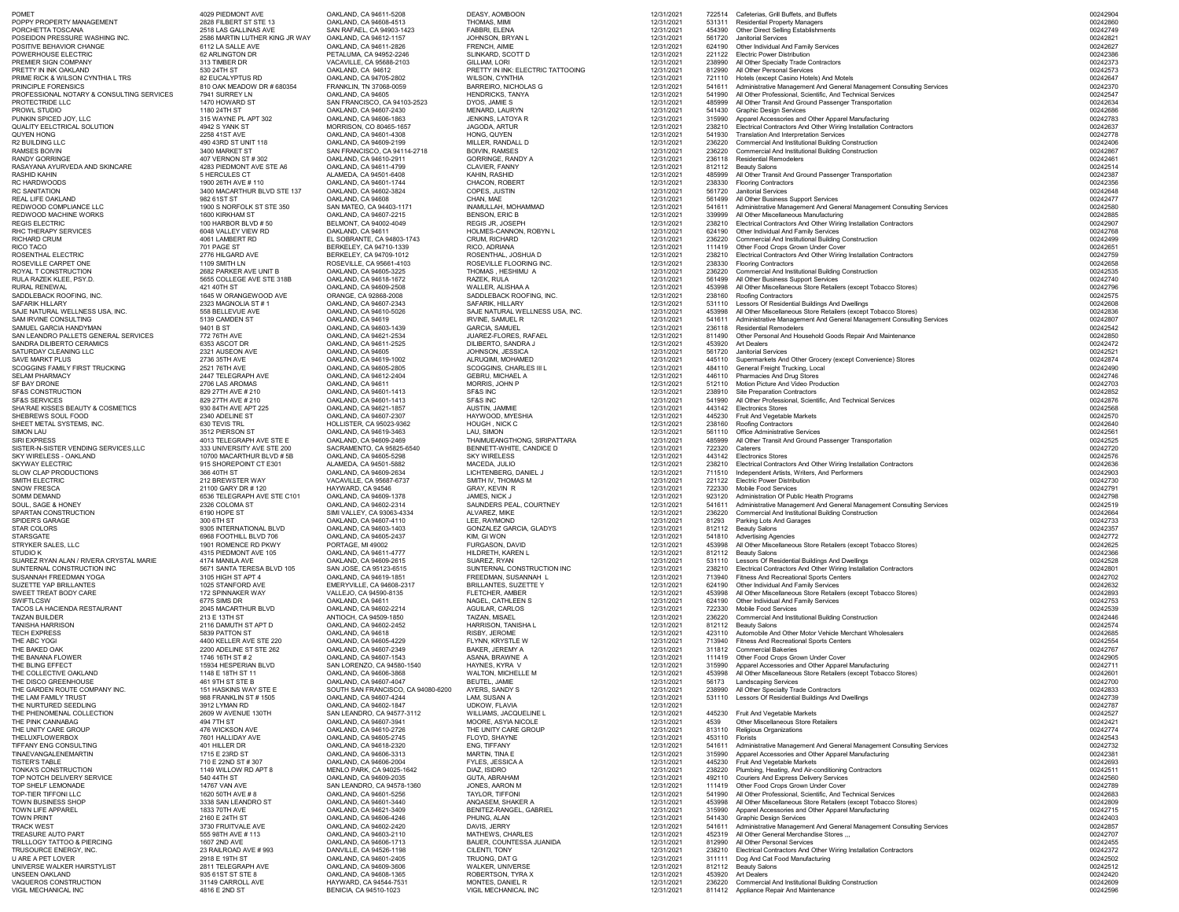| <b>POMET</b>                                                          | 4029 PIEDMONT AVE                                      | OAKLAND, CA 94611-5208                                    | DEASY, AOMBOON                                             | 12/31/2021               | 722514           | Cafeterias, Grill Buffets, and Buffets                                                                                                           | 00242904             |
|-----------------------------------------------------------------------|--------------------------------------------------------|-----------------------------------------------------------|------------------------------------------------------------|--------------------------|------------------|--------------------------------------------------------------------------------------------------------------------------------------------------|----------------------|
| POPPY PROPERTY MANAGEMENT<br>PORCHETTA TOSCANA                        | 2828 FILBERT ST STE 13<br>2518 LAS GALLINAS AVE        | OAKLAND, CA 94608-4513<br>SAN RAFAEL, CA 94903-1423       | THOMAS, MIMI<br><b>FABBRI, ELENA</b>                       | 12/31/2021<br>12/31/2021 |                  | 531311 Residential Property Managers<br>454390 Other Direct Selling Establishments                                                               | 00242860<br>00242749 |
| POSEIDON PRESSURE WASHING INC.<br>POSITIVE BEHAVIOR CHANGE            | 2586 MARTIN LUTHER KING JR WAY<br>6112 LA SALLE AVE    | OAKLAND, CA 94612-1157<br>OAKLAND, CA 94611-2826          | JOHNSON, BRYAN L<br><b>FRENCH, AIMIE</b>                   | 12/31/2021<br>12/31/2021 | 561720<br>624190 | <b>Janitorial Services</b><br><b>Other Individual And Family Services</b>                                                                        | 00242821<br>00242627 |
| POWERHOUSE ELECTRIC                                                   | 62 ARLINGTON DR                                        | PETALUMA, CA 94952-2246                                   | SLINKARD, SCOTT D                                          | 12/31/2021               |                  | 221122 Electric Power Distribution                                                                                                               | 00242386             |
| PREMIER SIGN COMPANY<br>PRETTY IN INK OAKLAND                         | 313 TIMBER DR<br>530 24TH ST                           | VACAVILLE, CA 95688-2103<br>OAKLAND, CA 94612             | <b>GILLIAM, LORI</b><br>PRETTY IN INK: ELECTRIC TATTOOING  | 12/31/2021<br>12/31/2021 | 238990           | All Other Specialty Trade Contractors<br>812990 All Other Personal Services                                                                      | 00242373<br>00242573 |
| PRIME RICK & WILSON CYNTHIA L TRS                                     | 82 EUCALYPTUS RD                                       | OAKLAND, CA 94705-2802                                    | <b>WILSON, CYNTHIA</b>                                     | 12/31/2021               |                  | 721110 Hotels (except Casino Hotels) And Motels                                                                                                  | 00242647             |
| PRINCIPLE FORENSICS<br>PROFESSIONAL NOTARY & CONSULTING SERVICES      | 810 OAK MEADOW DR # 680354<br>7941 SURREY LN           | FRANKLIN, TN 37068-0059<br>OAKLAND, CA 94605              | <b>BARREIRO, NICHOLAS G</b><br><b>HENDRICKS, TANYA</b>     | 12/31/2021<br>12/31/2021 |                  | 541611 Administrative Management And General Management Consulting Services<br>541990 All Other Professional, Scientific, And Technical Services | 00242370<br>00242547 |
| PROTECTRIDE LLC                                                       | 1470 HOWARD ST                                         | SAN FRANCISCO, CA 94103-2523                              | DYOS, JAMIE S                                              | 12/31/2021               |                  | 485999 All Other Transit And Ground Passenger Transportation                                                                                     | 00242634             |
| PROWL STUDIO<br>PUNKIN SPICED JOY, LLC                                | 1180 24TH ST<br>315 WAYNE PL APT 302                   | OAKLAND, CA 94607-2430<br>OAKLAND, CA 94606-1863          | MENARD, LAURYN<br><b>JENKINS, LATOYA R</b>                 | 12/31/2021<br>12/31/2021 |                  | 541430 Graphic Design Services<br>315990 Apparel Accessories and Other Apparel Manufacturing                                                     | 00242686<br>00242783 |
| <b>QUALITY EELCTRICAL SOLUTION</b>                                    | 4942 S YANK ST                                         | MORRISON, CO 80465-1657                                   | <b>JAGODA, ARTUR</b>                                       | 12/31/2021               |                  | 238210 Electrical Contractors And Other Wiring Installation Contractors                                                                          | 00242637             |
| QUYEN HONG<br>R2 BUILDING LLC                                         | 2258 41ST AVE<br>490 43RD ST UNIT 118                  | OAKLAND, CA 94601-4308<br>OAKLAND, CA 94609-2199          | HONG, QUYEN<br>MILLER, RANDALL D                           | 12/31/2021<br>12/31/2021 | 541930<br>236220 | <b>Translation And Interpretation Services</b><br><b>Commercial And Institutional Building Construction</b>                                      | 00242778<br>00242406 |
| RAMSES BOIVIN                                                         | 3400 MARKET ST                                         | SAN FRANCISCO, CA 94114-2718                              | <b>BOIVIN, RAMSES</b>                                      | 12/31/2021               | 236220           | <b>Commercial And Institutional Building Construction</b>                                                                                        | 00242867             |
| RANDY GORRINGE<br>RASAYANA AYURVEDA AND SKINCARE                      | 407 VERNON ST # 302<br>4283 PIEDMONT AVE STE A6        | OAKLAND, CA 94610-2911<br>OAKLAND, CA 94611-4799          | <b>GORRINGE, RANDY A</b><br><b>CLAVIER, FANNY</b>          | 12/31/2021<br>12/31/2021 |                  | 236118 Residential Remodelers<br>812112 Beauty Salons                                                                                            | 00242461<br>00242514 |
| RASHID KAHIN                                                          | 5 HERCULES CT                                          | ALAMEDA, CA 94501-6408                                    | KAHIN, RASHID                                              | 12/31/2021               | 485999           | All Other Transit And Ground Passenger Transportation                                                                                            | 00242387             |
| RC HARDWOODS<br><b>RC SANITATION</b>                                  | 1900 26TH AVE # 110<br>3400 MACARTHUR BLVD STE 137     | OAKLAND, CA 94601-1744<br>OAKLAND, CA 94602-3824          | <b>CHACON, ROBERT</b><br>COPES, JUSTIN                     | 12/31/2021<br>12/31/2021 | 238330           | <b>Flooring Contractors</b><br>561720 Janitorial Services                                                                                        | 00242356<br>00242648 |
| REAL LIFE OAKLAND                                                     | 982 61ST ST                                            | OAKLAND, CA 94608                                         | CHAN, MAE                                                  | 12/31/2021               |                  | 561499 All Other Business Support Services                                                                                                       | 00242477             |
| REDWOOD COMPLIANCE LLC<br>REDWOOD MACHINE WORKS                       | 1900 S NORFOLK ST STE 350<br>1600 KIRKHAM ST           | SAN MATEO, CA 94403-1171<br>OAKLAND, CA 94607-2215        | INAMULLAH, MOHAMMAD<br><b>BENSON, ERIC B</b>               | 12/31/2021<br>12/31/2021 | 339999           | 541611 Administrative Management And General Management Consulting Services<br>All Other Miscellaneous Manufacturing                             | 00242580<br>00242885 |
| <b>REGIS ELECTRIC</b>                                                 | 100 HARBOR BLVD # 50                                   | BELMONT, CA 94002-4049                                    | <b>REGIS JR, JOSEPH</b>                                    | 12/31/2021               | 238210           | Electrical Contractors And Other Wiring Installation Contractors                                                                                 | 00242907             |
| RHC THERAPY SERVICES<br>RICHARD CRUM                                  | 6048 VALLEY VIEW RD<br>4061 LAMBERT RD                 | OAKLAND, CA 94611<br>EL SOBRANTE, CA 94803-1743           | HOLMES-CANNON, ROBYN L<br><b>CRUM, RICHARD</b>             | 12/31/2021<br>12/31/2021 | 236220           | 624190 Other Individual And Family Services<br><b>Commercial And Institutional Building Construction</b>                                         | 00242768<br>00242499 |
| RICO TACO                                                             | 701 PAGE ST                                            | BERKELEY, CA 94710-1339                                   | RICO, ADRIANA                                              | 12/31/2021               |                  | 111419 Other Food Crops Grown Under Cover                                                                                                        | 00242651             |
| ROSENTHAL ELECTRIC<br>ROSEVILLE CARPET ONE                            | 2776 HILGARD AVE<br>1109 SMITH LN                      | BERKELEY, CA 94709-1012<br>ROSEVILLE, CA 95661-4103       | ROSENTHAL, JOSHUA D<br>ROSEVILLE FLOORING INC.             | 12/31/2021<br>12/31/2021 | 238210<br>238330 | Electrical Contractors And Other Wiring Installation Contractors<br><b>Flooring Contractors</b>                                                  | 00242759<br>00242658 |
| ROYAL T CONSTRUCTION                                                  | 2682 PARKER AVE UNIT B                                 | OAKLAND, CA 94605-3225                                    | THOMAS, HESHIMU A                                          | 12/31/2021               | 236220           | <b>Commercial And Institutional Building Construction</b>                                                                                        | 00242535             |
| RULA RAZEK KLEE, PSY.D.<br><b>RURAL RENEWAL</b>                       | 5655 COLLEGE AVE STE 318B<br>421 40TH ST               | OAKLAND, CA 94618-1672<br>OAKLAND, CA 94609-2508          | RAZEK, RULA<br>WALLER, ALISHAA A                           | 12/31/2021<br>12/31/2021 |                  | 561499 All Other Business Support Services<br>453998 All Other Miscellaneous Store Retailers (except Tobacco Stores)                             | 00242740<br>00242796 |
| SADDLEBACK ROOFING, INC                                               | 1645 W ORANGEWOOD AVE                                  | ORANGE, CA 92868-2008                                     | SADDLEBACK ROOFING, INC.                                   | 12/31/2021               |                  | 238160 Roofing Contractors                                                                                                                       | 00242575             |
| <b>SAFARIK HILLARY</b><br>SAJE NATURAL WELLNESS USA, INC.             | 2323 MAGNOLIA ST #1<br>558 BELLEVUE AVE                | OAKLAND, CA 94607-2343<br>OAKLAND, CA 94610-5026          | <b>SAFARIK, HILLARY</b><br>SAJE NATURAL WELLNESS USA, INC. | 12/31/2021<br>12/31/2021 |                  | 531110 Lessors Of Residential Buildings And Dwellings<br>453998 All Other Miscellaneous Store Retailers (except Tobacco Stores)                  | 00242608<br>00242836 |
| SAM IRVINE CONSULTING<br>SAMUEL GARCIA HANDYMAN                       | 5139 CAMDEN ST<br>9401 B ST                            | OAKLAND, CA 94619                                         | <b>IRVINE, SAMUEL R</b><br><b>GARCIA, SAMUEL</b>           | 12/31/2021               |                  | 541611 Administrative Management And General Management Consulting Services<br>236118 Residential Remodelers                                     | 00242807<br>00242542 |
| SAN LEANDRO PALLETS GENERAL SERVICES                                  | 772 76TH AVE                                           | OAKLAND, CA 94603-1439<br>OAKLAND, CA 94621-2534          | JUAREZ-FLORES, RAFAEL                                      | 12/31/2021<br>12/31/2021 |                  | 811490 Other Personal And Household Goods Repair And Maintenance                                                                                 | 00242850             |
| SANDRA DILIBERTO CERAMICS<br>SATURDAY CLEANING LLC                    | 6353 ASCOT DR<br>2321 AUSEON AVE                       | OAKLAND, CA 94611-2525<br>OAKLAND, CA 94605               | DILIBERTO, SANDRA J<br>JOHNSON, JESSICA                    | 12/31/2021<br>12/31/2021 |                  | 453920 Art Dealers<br>561720 Janitorial Services                                                                                                 | 00242472<br>00242521 |
| <b>SAVE MARKT PLUS</b>                                                | 2736 35TH AVE                                          | OAKLAND, CA 94619-1002                                    | ALRUQIMI, MOHAMED                                          | 12/31/2021               |                  | 445110 Supermarkets And Other Grocery (except Convenience) Stores                                                                                | 00242874             |
| SCOGGINS FAMILY FIRST TRUCKING<br><b>SELAM PHARMACY</b>               | 2521 76TH AVE<br>2447 TELEGRAPH AVE                    | OAKLAND, CA 94605-2805<br>OAKLAND, CA 94612-2404          | <b>SCOGGINS, CHARLES III L</b><br><b>GEBRU, MICHAEL A</b>  | 12/31/2021<br>12/31/2021 |                  | 484110 General Freight Trucking, Local<br>446110 Pharmacies And Drug Stores                                                                      | 00242490<br>00242746 |
| <b>SF BAY DRONE</b>                                                   | 2706 LAS AROMAS                                        | OAKLAND, CA 94611                                         | MORRIS, JOHN P                                             | 12/31/2021               |                  | 512110 Motion Picture And Video Production                                                                                                       | 00242703             |
| <b>SF&amp;S CONSTRUCTION</b><br><b>SF&amp;S SERVICES</b>              | 829 27TH AVE # 210<br>829 27TH AVE # 210               | OAKLAND, CA 94601-1413<br>OAKLAND, CA 94601-1413          | SF&S INC<br>SF&S INC                                       | 12/31/2021<br>12/31/2021 |                  | 238910 Site Preparation Contractors<br>541990 All Other Professional, Scientific, And Technical Services                                         | 00242852<br>00242876 |
| SHA'RAE KISSES BEAUTY & COSMETICS                                     | 930 84TH AVE APT 225                                   | OAKLAND, CA 94621-1857                                    | AUSTIN, JAMMIE                                             | 12/31/2021               |                  | 443142 Electronics Stores                                                                                                                        | 00242568             |
| SHEBREWS SOUL FOOD<br>SHEET METAL SYSTEMS, INC.                       | 2340 ADELINE ST<br>630 TEVIS TRL                       | OAKLAND, CA 94607-2307<br><b>HOLLISTER, CA 95023-9362</b> | HAYWOOD, MYESHIA<br>HOUGH, NICK C                          | 12/31/2021<br>12/31/2021 |                  | 445230 Fruit And Vegetable Markets<br>238160 Roofing Contractors                                                                                 | 00242570<br>00242640 |
| SIMON LAU                                                             | 3512 PIERSON ST                                        | OAKLAND, CA 94619-3463                                    | LAU, SIMON                                                 | 12/31/2021               |                  | 561110 Office Administrative Services                                                                                                            | 00242561             |
| <b>SIRI EXPRESS</b><br>SISTER-N-SISTER VENDING SERVICES,LLC           | 4013 TELEGRAPH AVE STE E<br>333 UNIVERSITY AVE STE 200 | OAKLAND, CA 94609-2469<br>SACRAMENTO, CA 95825-6540       | THAIMUEANGTHONG, SIRIPATTARA<br>BENNETT-WHITE, CANDICE D   | 12/31/2021<br>12/31/2021 | 485999           | All Other Transit And Ground Passenger Transportation<br>722320 Caterers                                                                         | 00242525<br>00242720 |
| SKY WIRELESS - OAKLAND                                                | 10700 MACARTHUR BLVD #5B                               | OAKLAND, CA 94605-5298                                    | <b>SKY WIRELESS</b>                                        | 12/31/2021               |                  | 443142 Electronics Stores                                                                                                                        | 00242576             |
| <b>SKYWAY ELECTRIC</b><br><b>SLOW CLAP PRODUCTIONS</b>                | 915 SHOREPOINT CT E301<br>366 40TH ST                  | ALAMEDA, CA 94501-5882<br>OAKLAND, CA 94609-2634          | MACEDA, JULIO<br>LICHTENBERG, DANIEL J                     | 12/31/2021<br>12/31/2021 | 238210           | Electrical Contractors And Other Wiring Installation Contractors<br>711510 Independent Artists, Writers, And Performers                          | 00242636<br>00242903 |
| SMITH ELECTRIC                                                        | 212 BREWSTER WAY                                       | VACAVILLE, CA 95687-6737                                  | SMITH IV, THOMAS M                                         | 12/31/2021               |                  | 221122 Electric Power Distribution                                                                                                               | 00242730             |
| <b>SNOW FRESCA</b><br><b>SOMM DEMAND</b>                              | 21100 GARY DR # 120<br>6536 TELEGRAPH AVE STE C101     | HAYWARD, CA 94546<br>OAKLAND, CA 94609-1378               | <b>GRAY, KEVIN R</b><br>JAMES, NICK J                      | 12/31/2021<br>12/31/2021 | 722330           | <b>Mobile Food Services</b><br>923120 Administration Of Public Health Programs                                                                   | 00242791<br>00242798 |
| SOUL, SAGE & HONEY                                                    | 2326 COLOMA ST                                         | OAKLAND, CA 94602-2314                                    | SAUNDERS PEAL, COURTNEY                                    | 12/31/2021               |                  | 541611 Administrative Management And General Management Consulting Services                                                                      | 00242519             |
| SPARTAN CONSTRUCTION<br><b>SPIDER'S GARAGE</b>                        | 6190 HOPE ST<br>300 6TH ST                             | SIMI VALLEY, CA 93063-4334<br>OAKLAND, CA 94607-4110      | ALVAREZ, MIKE<br>LEE, RAYMOND                              | 12/31/2021<br>12/31/2021 | 236220<br>81293  | <b>Commercial And Institutional Building Construction</b><br><b>Parking Lots And Garages</b>                                                     | 00242664<br>00242733 |
| <b>STAR COLORS</b>                                                    | 9305 INTERNATIONAL BLVD                                | OAKLAND, CA 94603-1403                                    | <b>GONZALEZ GARCIA, GLADYS</b>                             | 12/31/2021               |                  | 812112 Beauty Salons                                                                                                                             | 00242357             |
| <b>STARSGATE</b><br>STRYKER SALES, LLC                                | 6968 FOOTHILL BLVD 706<br>1901 ROMENCE RD PKWY         | OAKLAND, CA 94605-2437<br>PORTAGE, MI 49002               | KIM, GI WON<br><b>FURGASON, DAVID</b>                      | 12/31/2021<br>12/31/2021 |                  | 541810 Advertising Agencies<br>453998 All Other Miscellaneous Store Retailers (except Tobacco Stores)                                            | 00242772<br>00242625 |
| STUDIO K                                                              | 4315 PIEDMONT AVE 105                                  | OAKLAND, CA 94611-4777                                    | HILDRETH, KAREN L                                          | 12/31/2021               |                  | 812112 Beauty Salons                                                                                                                             | 00242366             |
| SUAREZ RYAN ALAN / RIVERA CRYSTAL MARIE<br>SUNTERNAL CONSTRUCTION INC | 4174 MANILA AVE<br>5671 SANTA TERESA BLVD 105          | OAKLAND, CA 94609-2615<br>SAN JOSE, CA 95123-6515         | SUAREZ, RYAN<br>SUNTERNAL CONSTRUCTION INC                 | 12/31/2021<br>12/31/2021 | 238210           | 531110 Lessors Of Residential Buildings And Dwellings<br>Electrical Contractors And Other Wiring Installation Contractors                        | 00242528<br>00242801 |
| SUSANNAH FREEDMAN YOGA<br><b>SUZETTE YAP BRILLANTES</b>               | 3105 HIGH ST APT 4<br>1025 STANFORD AVE                | OAKLAND, CA 94619-1851<br>EMERYVILLE, CA 94608-2317       | FREEDMAN, SUSANNAH L                                       | 12/31/2021               |                  | 713940 Fitness And Recreational Sports Centers                                                                                                   | 00242702             |
| SWEET TREAT BODY CARE                                                 | 172 SPINNAKER WAY                                      | VALLEJO, CA 94590-8135                                    | <b>BRILLANTES, SUZETTE Y</b><br>FLETCHER, AMBER            | 12/31/2021<br>12/31/2021 |                  | 624190 Other Individual And Family Services<br>453998 All Other Miscellaneous Store Retailers (except Tobacco Stores)                            | 00242632<br>00242893 |
| SWIFTLCSW<br>TACOS LA HACIENDA RESTAURANT                             | 6775 SIMS DR                                           | OAKLAND, CA 94611<br>OAKLAND, CA 94602-2214               | NAGEL, CATHLEEN S                                          | 12/31/2021               |                  | 624190 Other Individual And Family Services<br><b>Mobile Food Services</b>                                                                       | 00242753<br>00242539 |
| <b>TAIZAN BUILDER</b>                                                 | 2045 MACARTHUR BLVD<br>213 E 13TH ST                   | ANTIOCH, CA 94509-1850                                    | <b>AGUILAR, CARLOS</b><br><b>TAIZAN, MISAEL</b>            | 12/31/2021<br>12/31/2021 | 722330<br>236220 | <b>Commercial And Institutional Building Construction</b>                                                                                        | 00242446             |
| <b>TANISHA HARRISON</b><br><b>TECH EXPRESS</b>                        | 2116 DAMUTH ST APT D<br>5839 PATTON ST                 | OAKLAND, CA 94602-2452<br>OAKLAND, CA 94618               | <b>HARRISON, TANISHA L</b><br>RISBY, JEROME                | 12/31/2021<br>12/31/2021 |                  | 812112 Beauty Salons<br>423110 Automobile And Other Motor Vehicle Merchant Wholesalers                                                           | 00242574<br>00242685 |
| THE ABC YOGI                                                          | 4400 KELLER AVE STE 220                                | OAKLAND, CA 94605-4229                                    | FLYNN, KRYSTLE W                                           | 12/31/2021               | 713940           | <b>Fitness And Recreational Sports Centers</b>                                                                                                   | 00242554             |
| THE BAKED OAK<br>THE BANANA FLOWER                                    | 2200 ADELINE ST STE 262<br>1746 16TH ST # 2            | OAKLAND, CA 94607-2349<br>OAKLAND, CA 94607-1543          | <b>BAKER, JEREMY A</b><br>ASANA, BRAWNE A                  | 12/31/2021<br>12/31/2021 |                  | 311812 Commercial Bakeries<br>111419 Other Food Crops Grown Under Cover                                                                          | 00242767<br>00242905 |
| THE BLING EFFECT                                                      | 15934 HESPERIAN BLVD                                   | SAN LORENZO, CA 94580-1540                                | HAYNES, KYRA V                                             | 12/31/2021               |                  | 315990 Apparel Accessories and Other Apparel Manufacturing                                                                                       | 00242711             |
| THE COLLECTIVE OAKLAND<br>THE DISCO GREENHOUSE                        | 1148 E 18TH ST 11<br>461 9TH ST STE B                  | OAKLAND, CA 94606-3868<br>OAKLAND, CA 94607-4047          | <b>WALTON, MICHELLE M</b><br><b>BEUTEL, JAMIE</b>          | 12/31/2021<br>12/31/2021 | 56173            | 453998 All Other Miscellaneous Store Retailers (except Tobacco Stores)<br><b>Landscaping Services</b>                                            | 00242601<br>00242700 |
| THE GARDEN ROUTE COMPANY INC.                                         | 151 HASKINS WAY STE E                                  | SOUTH SAN FRANCISCO, CA 94080-6200                        | AYERS, SANDY S                                             | 12/31/2021               |                  | 238990 All Other Specialty Trade Contractors                                                                                                     | 00242833             |
| THE LAM FAMILY TRUST<br>THE NURTURED SEEDLING                         | 988 FRANKLIN ST # 1505<br>3912 LYMAN RD                | OAKLAND, CA 94607-4244<br>OAKLAND, CA 94602-1847          | LAM, SUSAN A<br><b>UDKOW, FLAVIA</b>                       | 12/31/2021<br>12/31/2021 |                  | 531110 Lessors Of Residential Buildings And Dwellings                                                                                            | 00242739<br>00242787 |
| THE PHENOMENAL COLLECTION                                             | 2609 W AVENUE 130TH                                    | SAN LEANDRO, CA 94577-3112                                | WILLIAMS, JACQUELINE L                                     | 12/31/2021               | 445230           | <b>Fruit And Vegetable Markets</b>                                                                                                               | 00242527             |
| THE PINK CANNABAG<br>THE UNITY CARE GROUP                             | 494 7TH ST<br>476 WICKSON AVE                          | OAKLAND, CA 94607-3941<br>OAKLAND, CA 94610-2726          | MOORE, ASYIA NICOLE<br>THE UNITY CARE GROUP                | 12/31/2021<br>12/31/2021 | 4539<br>813110   | <b>Other Miscellaneous Store Retailers</b><br>Religious Organizations                                                                            | 00242421<br>00242774 |
| <b>THELUXFLOWERBOX</b>                                                | 7601 HALLIDAY AVE                                      | OAKLAND, CA 94605-2745                                    | FLOYD, SHAYNE                                              | 12/31/2021               | 453110 Florists  |                                                                                                                                                  | 00242543             |
| TIFFANY ENG CONSULTING<br>TINAEVANGALENEMARTIN                        | 401 HILLER DR<br>1715 E 23RD ST                        | OAKLAND, CA 94618-2320<br>OAKLAND, CA 94606-3313          | ENG, TIFFANY<br>MARTIN, TINA E                             | 12/31/2021<br>12/31/2021 |                  | 541611 Administrative Management And General Management Consulting Services<br>315990 Apparel Accessories and Other Apparel Manufacturing        | 00242732<br>00242381 |
| <b>TISTER'S TABLE</b>                                                 | 710 E 22ND ST # 307                                    | OAKLAND, CA 94606-2004                                    | FYLES, JESSICA A                                           | 12/31/2021               |                  | 445230 Fruit And Vegetable Markets                                                                                                               | 00242693             |
| TONKA'S CONSTRUCTION<br>TOP NOTCH DELIVERY SERVICE                    | 1149 WILLOW RD APT 8<br>540 44TH ST                    | MENLO PARK, CA 94025-1642<br>OAKLAND, CA 94609-2035       | DIAZ, ISIDRO<br>GUTA, ABRAHAM                              | 12/31/2021<br>12/31/2021 | 238220           | Plumbing, Heating, And Air-conditioning Contractors<br>492110 Couriers And Express Delivery Services                                             | 00242511<br>00242560 |
| <b>TOP SHELF LEMONADE</b>                                             | <b>14767 VAN AVE</b>                                   | SAN LEANDRO, CA 94578-1360                                | JONES, AARON M                                             | 12/31/2021               |                  | 111419 Other Food Crops Grown Under Cover                                                                                                        | 00242789             |
| <b>TOP-TIER TIFFONI LLC</b><br>TOWN BUSINESS SHOP                     | 1620 50TH AVE #8<br>3338 SAN LEANDRO ST                | OAKLAND, CA 94601-5256<br>OAKLAND, CA 94601-3440          | <b>TAYLOR, TIFFONI</b><br>ANQASEM, SHAKER A                | 12/31/2021<br>12/31/2021 |                  | 541990 All Other Professional, Scientific, And Technical Services<br>453998 All Other Miscellaneous Store Retailers (except Tobacco Stores)      | 00242683<br>00242809 |
| <b>TOWN LIFE APPAREL</b>                                              | 1833 70TH AVE                                          | OAKLAND, CA 94621-3409                                    | BENITEZ-RANGEL, GABRIEL                                    | 12/31/2021               |                  | 315990 Apparel Accessories and Other Apparel Manufacturing                                                                                       | 00242715             |
| <b>TOWN PRINT</b><br><b>TRACK WEST</b>                                | 2160 E 24TH ST<br>3730 FRUITVALE AVE                   | OAKLAND, CA 94606-4246<br>OAKLAND, CA 94602-2420          | PHUNG, ALAN<br>DAVIS, JERRY                                | 12/31/2021<br>12/31/2021 |                  | 541430 Graphic Design Services<br>541611 Administrative Management And General Management Consulting Services                                    | 00242403<br>00242857 |
| <b>TREASURE AUTO PART</b>                                             | 555 98TH AVE # 113                                     | OAKLAND, CA 94603-2110                                    | <b>MATHEWS, CHARLES</b>                                    | 12/31/2021               |                  | 452319 All Other General Merchandise Stores                                                                                                      | 00242707             |
| TRILLLOGY TATTOO & PIERCING<br>TRUSOURCE ENERGY, INC.                 | 1607 2ND AVE<br>23 RAILROAD AVE # 993                  | OAKLAND, CA 94606-1713<br>DANVILLE, CA 94526-1198         | BAUER, COUNTESSA JUANIDA<br>CILENTI, TONY                  | 12/31/2021<br>12/31/2021 | 238210           | 812990 All Other Personal Services<br>Electrical Contractors And Other Wiring Installation Contractors                                           | 00242455<br>00242372 |
| <b>U ARE A PET LOVER</b>                                              | 2918 E 19TH ST                                         | OAKLAND, CA 94601-2405                                    | TRUONG, DAT G                                              | 12/31/2021               |                  | 311111 Dog And Cat Food Manufacturing                                                                                                            | 00242502             |
| UNIVERSE WALKER HAIRSTYLIST<br><b>UNSEEN OAKLAND</b>                  | 2811 TELEGRAPH AVE<br>935 61ST ST STE 8                | OAKLAND, CA 94609-3606<br>OAKLAND, CA 94608-1365          | WALKER, UNIVERSE<br><b>ROBERTSON, TYRA X</b>               | 12/31/2021<br>12/31/2021 |                  | 812112 Beauty Salons<br>453920 Art Dealers                                                                                                       | 00242512<br>00242420 |
| VAQUEROS CONSTRUCTION                                                 | 31149 CARROLL AVE                                      | HAYWARD, CA 94544-7531                                    | MONTES, DANIEL R                                           | 12/31/2021               | 236220           | <b>Commercial And Institutional Building Construction</b>                                                                                        | 00242609             |
| VIGIL MECHANICAL INC                                                  | 4816 E 2ND ST                                          | BENICIA, CA 94510-1023                                    | VIGIL MECHANICAL INC                                       | 12/31/2021               |                  | 811412 Appliance Repair And Maintenance                                                                                                          | 00242596             |